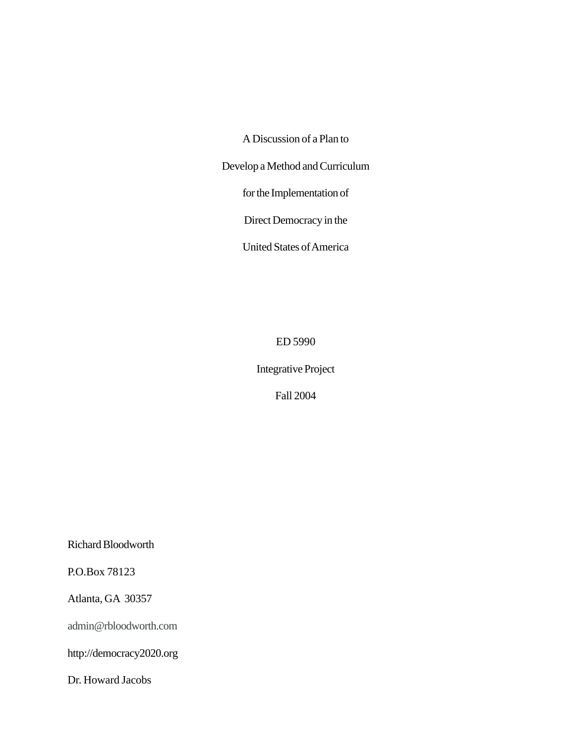A Discussion of a Plan to

Develop a Method and Curriculum

for the Implementation of

Direct Democracy in the

United States of America

ED 5990

Integrative Project

Fall 2004

Richard Bloodworth

P.O.Box 78123

Atlanta, GA 30357

admin@rbloodworth.com

http://democracy2020.org

Dr. Howard Jacobs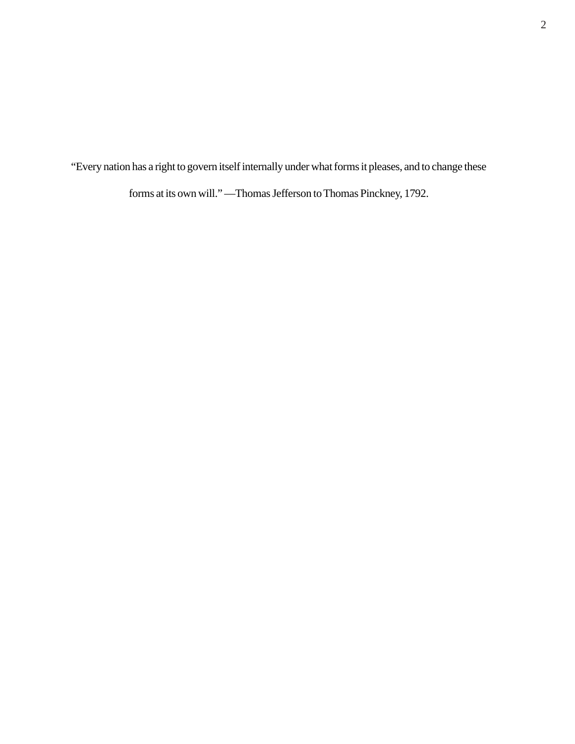"Every nation has a right to govern itself internally under what forms it pleases, and to change these

forms at its own will." —Thomas Jefferson to Thomas Pinckney, 1792.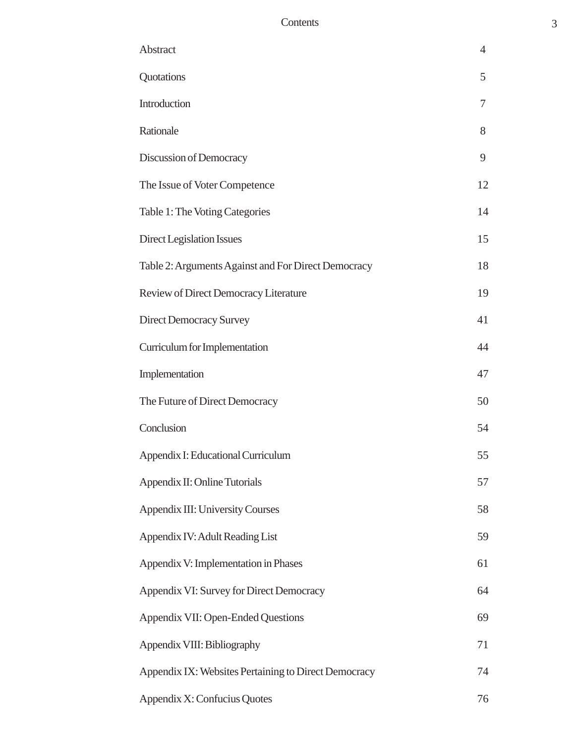# Contents 3

| Abstract                                             | $\overline{4}$ |
|------------------------------------------------------|----------------|
| Quotations                                           | 5              |
| Introduction                                         | 7              |
| Rationale                                            | 8              |
| Discussion of Democracy                              | 9              |
| The Issue of Voter Competence                        | 12             |
| Table 1: The Voting Categories                       | 14             |
| Direct Legislation Issues                            | 15             |
| Table 2: Arguments Against and For Direct Democracy  | 18             |
| Review of Direct Democracy Literature                | 19             |
| <b>Direct Democracy Survey</b>                       | 41             |
| Curriculum for Implementation                        | 44             |
| Implementation                                       | 47             |
| The Future of Direct Democracy                       | 50             |
| Conclusion                                           | 54             |
| Appendix I: Educational Curriculum                   | 55             |
| Appendix II: Online Tutorials                        | 57             |
| <b>Appendix III: University Courses</b>              | 58             |
| Appendix IV: Adult Reading List                      | 59             |
| Appendix V: Implementation in Phases                 | 61             |
| Appendix VI: Survey for Direct Democracy             | 64             |
| Appendix VII: Open-Ended Questions                   | 69             |
| Appendix VIII: Bibliography                          | 71             |
| Appendix IX: Websites Pertaining to Direct Democracy | 74             |
| Appendix X: Confucius Quotes                         | 76             |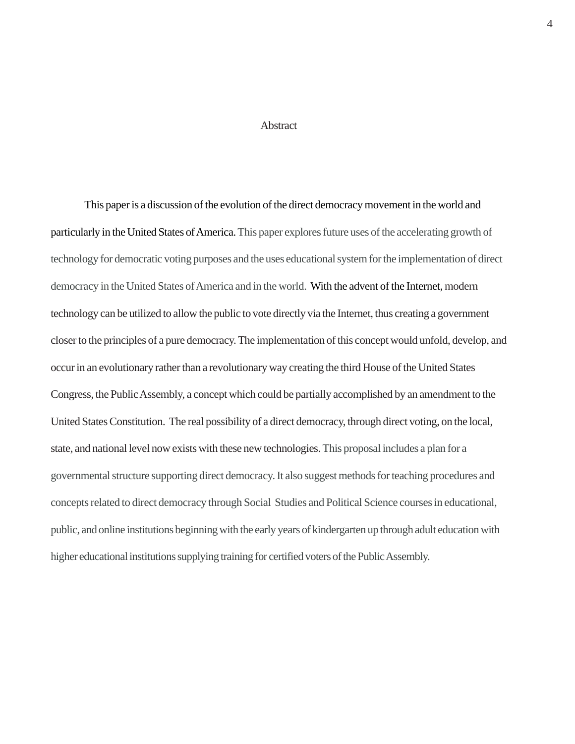#### **Abstract**

This paper is a discussion of the evolution of the direct democracy movement in the world and particularly in the United States of America. This paper explores future uses of the accelerating growth of technology for democratic voting purposes and the uses educational system for the implementation of direct democracy in the United States of America and in the world. With the advent of the Internet, modern technology can be utilized to allow the public to vote directly via the Internet, thus creating a government closer to the principles of a pure democracy. The implementation of this concept would unfold, develop, and occur in an evolutionary rather than a revolutionary way creating the third House of the United States Congress, the Public Assembly, a concept which could be partially accomplished by an amendment to the United States Constitution. The real possibility of a direct democracy, through direct voting, on the local, state, and national level now exists with these new technologies. This proposal includes a plan for a governmental structure supporting direct democracy. It also suggest methods for teaching procedures and concepts related to direct democracy through Social Studies and Political Science courses in educational, public, and online institutions beginning with the early years of kindergarten up through adult education with higher educational institutions supplying training for certified voters of the Public Assembly.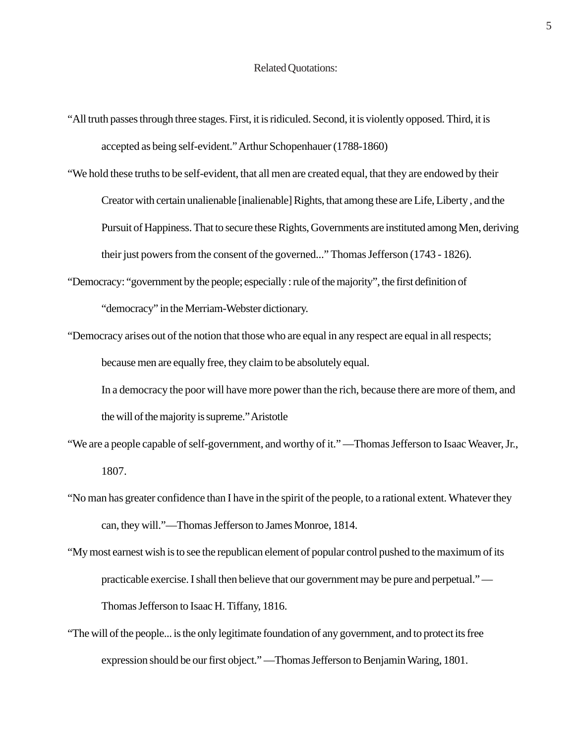- "All truth passes through three stages. First, it is ridiculed. Second, it is violently opposed. Third, it is accepted as being self-evident." Arthur Schopenhauer (1788-1860)
- "We hold these truths to be self-evident, that all men are created equal, that they are endowed by their Creator with certain unalienable [inalienable] Rights, that among these are Life, Liberty , and the Pursuit of Happiness. That to secure these Rights, Governments are instituted among Men, deriving their just powers from the consent of the governed..." Thomas Jefferson (1743 - 1826).
- "Democracy: "government by the people; especially : rule of the majority", the first definition of "democracy" in the Merriam-Webster dictionary.
- "Democracy arises out of the notion that those who are equal in any respect are equal in all respects; because men are equally free, they claim to be absolutely equal.
	- In a democracy the poor will have more power than the rich, because there are more of them, and the will of the majority is supreme." Aristotle
- "We are a people capable of self-government, and worthy of it." —Thomas Jefferson to Isaac Weaver, Jr., 1807.
- "No man has greater confidence than I have in the spirit of the people, to a rational extent. Whatever they can, they will."—Thomas Jefferson to James Monroe, 1814.
- "My most earnest wish is to see the republican element of popular control pushed to the maximum of its practicable exercise. I shall then believe that our government may be pure and perpetual." — Thomas Jefferson to Isaac H. Tiffany, 1816.
- "The will of the people... is the only legitimate foundation of any government, and to protect its free expression should be our first object." —Thomas Jefferson to Benjamin Waring, 1801.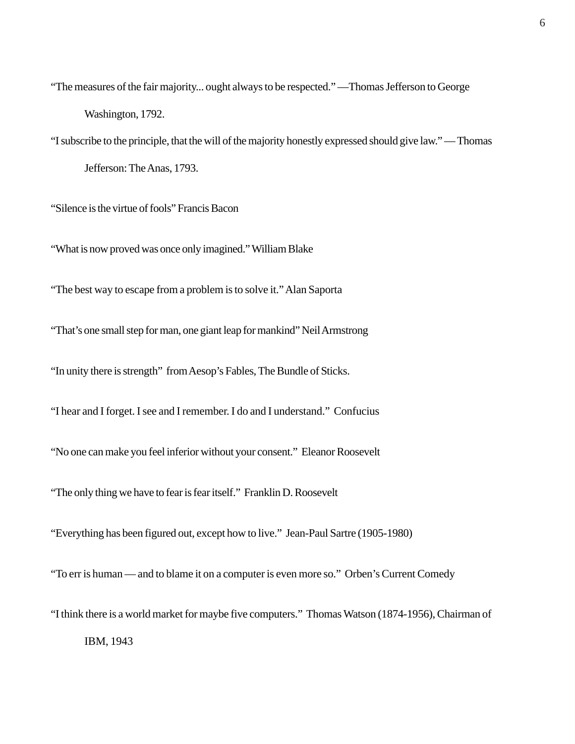"The measures of the fair majority... ought always to be respected." —Thomas Jefferson to George Washington, 1792.

"I subscribe to the principle, that the will of the majority honestly expressed should give law." — Thomas Jefferson: The Anas, 1793.

"Silence is the virtue of fools" Francis Bacon

"What is now proved was once only imagined." William Blake

"The best way to escape from a problem is to solve it." Alan Saporta

"That's one small step for man, one giant leap for mankind" Neil Armstrong

"In unity there is strength" from Aesop's Fables, The Bundle of Sticks.

"I hear and I forget. I see and I remember. I do and I understand." Confucius

"No one can make you feel inferior without your consent." Eleanor Roosevelt

"The only thing we have to fear is fear itself." Franklin D. Roosevelt

"Everything has been figured out, except how to live." Jean-Paul Sartre (1905-1980)

"To err is human — and to blame it on a computer is even more so." Orben's Current Comedy

"I think there is a world market for maybe five computers." Thomas Watson (1874-1956), Chairman of

IBM, 1943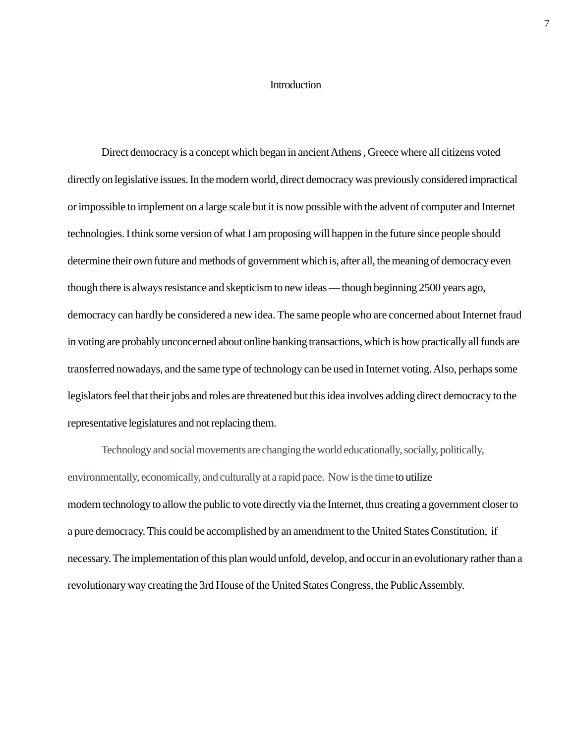#### **Introduction**

Direct democracy is a concept which began in ancient Athens , Greece where all citizens voted directly on legislative issues. In the modern world, direct democracy was previously considered impractical or impossible to implement on a large scale but it is now possible with the advent of computer and Internet technologies. I think some version of what I am proposing will happen in the future since people should determine their own future and methods of government which is, after all, the meaning of democracy even though there is always resistance and skepticism to new ideas — though beginning 2500 years ago, democracy can hardly be considered a new idea. The same people who are concerned about Internet fraud in voting are probably unconcerned about online banking transactions, which is how practically all funds are transferred nowadays, and the same type of technology can be used in Internet voting. Also, perhaps some legislators feel that their jobs and roles are threatened but this idea involves adding direct democracy to the representative legislatures and not replacing them.

Technology and social movements are changing the world educationally, socially, politically, environmentally, economically, and culturally at a rapid pace. Now is the time to utilize modern technology to allow the public to vote directly via the Internet, thus creating a government closer to a pure democracy. This could be accomplished by an amendment to the United States Constitution, if necessary. The implementation of this plan would unfold, develop, and occur in an evolutionary rather than a revolutionary way creating the 3rd House of the United States Congress, the Public Assembly.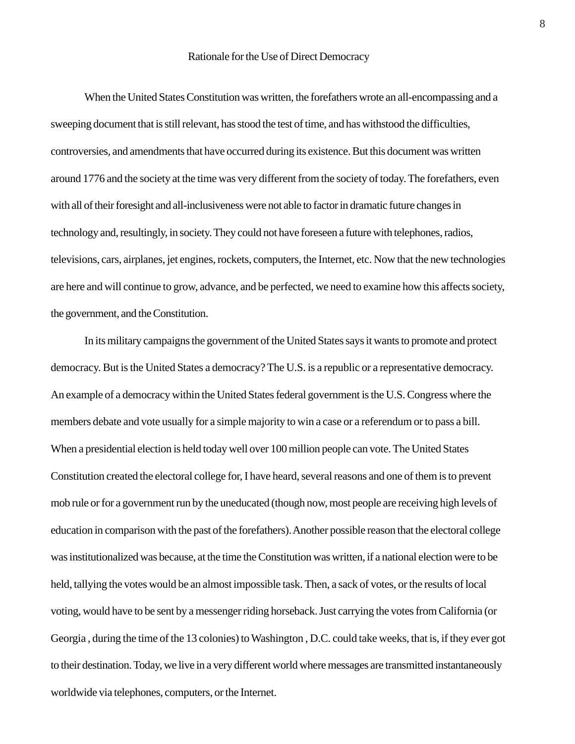When the United States Constitution was written, the forefathers wrote an all-encompassing and a sweeping document that is still relevant, has stood the test of time, and has withstood the difficulties, controversies, and amendments that have occurred during its existence. But this document was written around 1776 and the society at the time was very different from the society of today. The forefathers, even with all of their foresight and all-inclusiveness were not able to factor in dramatic future changes in technology and, resultingly, in society. They could not have foreseen a future with telephones, radios, televisions, cars, airplanes, jet engines, rockets, computers, the Internet, etc. Now that the new technologies are here and will continue to grow, advance, and be perfected, we need to examine how this affects society, the government, and the Constitution.

In its military campaigns the government of the United States says it wants to promote and protect democracy. But is the United States a democracy? The U.S. is a republic or a representative democracy. An example of a democracy within the United States federal government is the U.S. Congress where the members debate and vote usually for a simple majority to win a case or a referendum or to pass a bill. When a presidential election is held today well over 100 million people can vote. The United States Constitution created the electoral college for, I have heard, several reasons and one of them is to prevent mob rule or for a government run by the uneducated (though now, most people are receiving high levels of education in comparison with the past of the forefathers). Another possible reason that the electoral college was institutionalized was because, at the time the Constitution was written, if a national election were to be held, tallying the votes would be an almost impossible task. Then, a sack of votes, or the results of local voting, would have to be sent by a messenger riding horseback. Just carrying the votes from California (or Georgia , during the time of the 13 colonies) to Washington , D.C. could take weeks, that is, if they ever got to their destination. Today, we live in a very different world where messages are transmitted instantaneously worldwide via telephones, computers, or the Internet.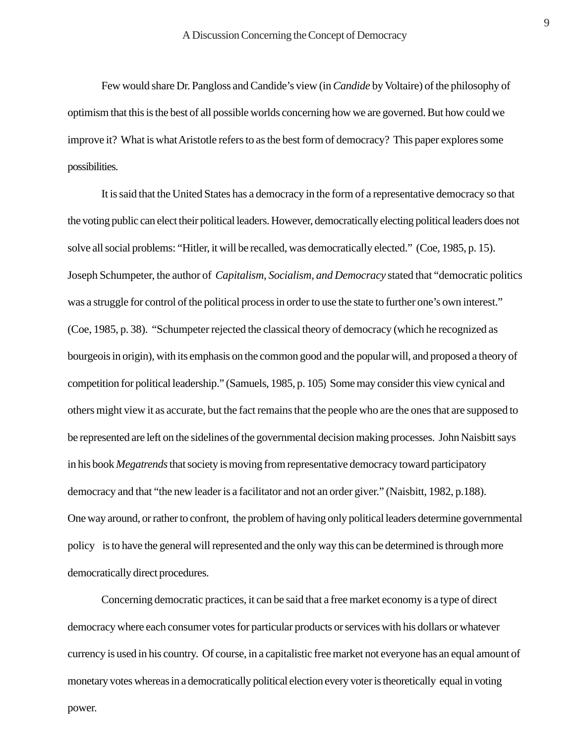Few would share Dr. Pangloss and Candide's view (in *Candide* by Voltaire) of the philosophy of optimism that this is the best of all possible worlds concerning how we are governed. But how could we improve it? What is what Aristotle refers to as the best form of democracy? This paper explores some possibilities.

It is said that the United States has a democracy in the form of a representative democracy so that the voting public can elect their political leaders. However, democratically electing political leaders does not solve all social problems: "Hitler, it will be recalled, was democratically elected." (Coe, 1985, p. 15). Joseph Schumpeter, the author of *Capitalism, Socialism, and Democracy* stated that "democratic politics was a struggle for control of the political process in order to use the state to further one's own interest." (Coe, 1985, p. 38). "Schumpeter rejected the classical theory of democracy (which he recognized as bourgeois in origin), with its emphasis on the common good and the popular will, and proposed a theory of competition for political leadership." (Samuels, 1985, p. 105) Some may consider this view cynical and others might view it as accurate, but the fact remains that the people who are the ones that are supposed to be represented are left on the sidelines of the governmental decision making processes. John Naisbitt says in his book *Megatrends* that society is moving from representative democracy toward participatory democracy and that "the new leader is a facilitator and not an order giver." (Naisbitt, 1982, p.188). One way around, or rather to confront, the problem of having only political leaders determine governmental policy is to have the general will represented and the only way this can be determined is through more democratically direct procedures.

Concerning democratic practices, it can be said that a free market economy is a type of direct democracy where each consumer votes for particular products or services with his dollars or whatever currency is used in his country. Of course, in a capitalistic free market not everyone has an equal amount of monetary votes whereas in a democratically political election every voter is theoretically equal in voting power.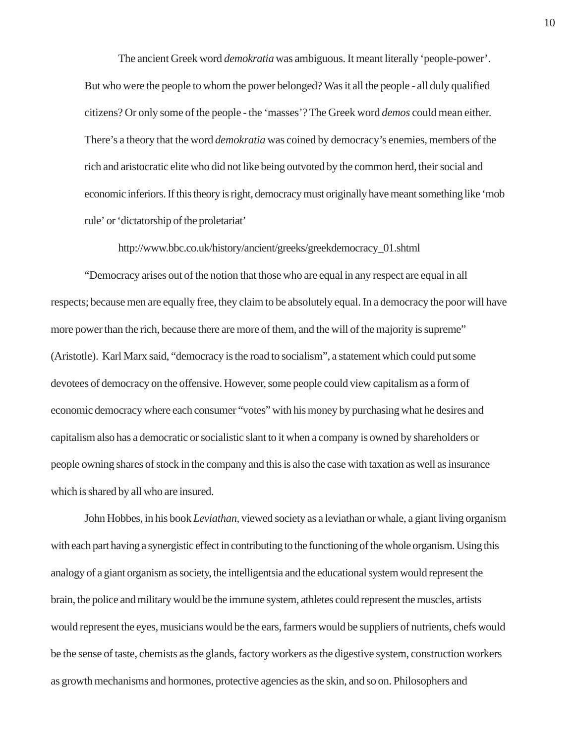The ancient Greek word *demokratia* was ambiguous. It meant literally 'people-power'. But who were the people to whom the power belonged? Was it all the people - all duly qualified citizens? Or only some of the people - the 'masses'? The Greek word *demos* could mean either. There's a theory that the word *demokratia* was coined by democracy's enemies, members of the rich and aristocratic elite who did not like being outvoted by the common herd, their social and economic inferiors. If this theory is right, democracy must originally have meant something like 'mob rule' or 'dictatorship of the proletariat'

http://www.bbc.co.uk/history/ancient/greeks/greekdemocracy\_01.shtml

"Democracy arises out of the notion that those who are equal in any respect are equal in all respects; because men are equally free, they claim to be absolutely equal. In a democracy the poor will have more power than the rich, because there are more of them, and the will of the majority is supreme" (Aristotle). Karl Marx said, "democracy is the road to socialism", a statement which could put some devotees of democracy on the offensive. However, some people could view capitalism as a form of economic democracy where each consumer "votes" with his money by purchasing what he desires and capitalism also has a democratic or socialistic slant to it when a company is owned by shareholders or people owning shares of stock in the company and this is also the case with taxation as well as insurance which is shared by all who are insured.

John Hobbes, in his book *Leviathan*, viewed society as a leviathan or whale, a giant living organism with each part having a synergistic effect in contributing to the functioning of the whole organism. Using this analogy of a giant organism as society, the intelligentsia and the educational system would represent the brain, the police and military would be the immune system, athletes could represent the muscles, artists would represent the eyes, musicians would be the ears, farmers would be suppliers of nutrients, chefs would be the sense of taste, chemists as the glands, factory workers as the digestive system, construction workers as growth mechanisms and hormones, protective agencies as the skin, and so on. Philosophers and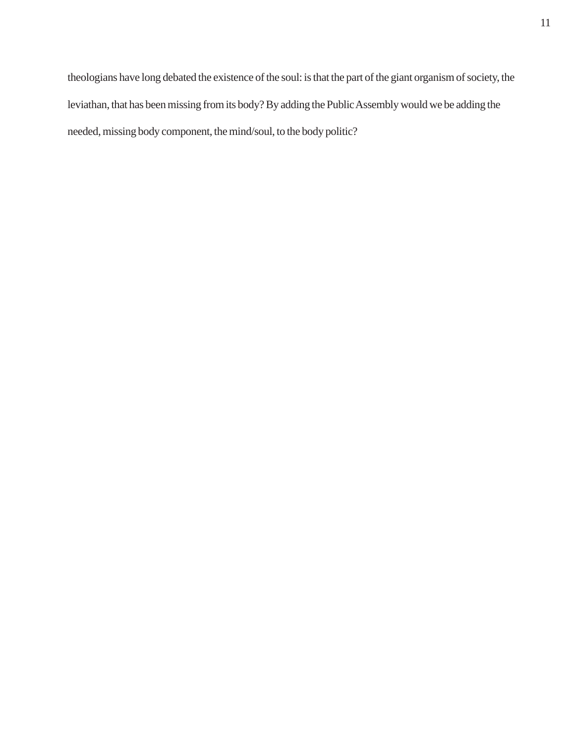theologians have long debated the existence of the soul: is that the part of the giant organism of society, the leviathan, that has been missing from its body? By adding the Public Assembly would we be adding the needed, missing body component, the mind/soul, to the body politic?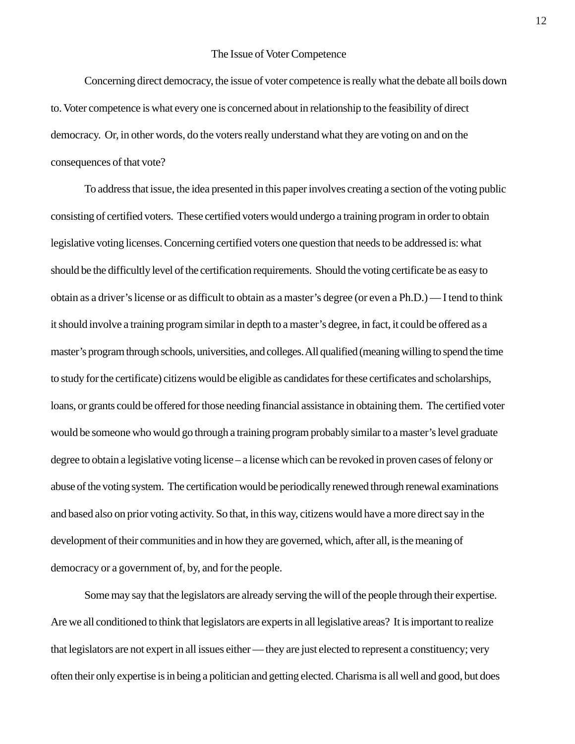#### The Issue of Voter Competence

Concerning direct democracy, the issue of voter competence is really what the debate all boils down to. Voter competence is what every one is concerned about in relationship to the feasibility of direct democracy. Or, in other words, do the voters really understand what they are voting on and on the consequences of that vote?

To address that issue, the idea presented in this paper involves creating a section of the voting public consisting of certified voters. These certified voters would undergo a training program in order to obtain legislative voting licenses. Concerning certified voters one question that needs to be addressed is: what should be the difficultly level of the certification requirements. Should the voting certificate be as easy to obtain as a driver's license or as difficult to obtain as a master's degree (or even a Ph.D.) — I tend to think it should involve a training program similar in depth to a master's degree, in fact, it could be offered as a master's program through schools, universities, and colleges. All qualified (meaning willing to spend the time to study for the certificate) citizens would be eligible as candidates for these certificates and scholarships, loans, or grants could be offered for those needing financial assistance in obtaining them. The certified voter would be someone who would go through a training program probably similar to a master's level graduate degree to obtain a legislative voting license – a license which can be revoked in proven cases of felony or abuse of the voting system. The certification would be periodically renewed through renewal examinations and based also on prior voting activity. So that, in this way, citizens would have a more direct say in the development of their communities and in how they are governed, which, after all, is the meaning of democracy or a government of, by, and for the people.

Some may say that the legislators are already serving the will of the people through their expertise. Are we all conditioned to think that legislators are experts in all legislative areas? It is important to realize that legislators are not expert in all issues either — they are just elected to represent a constituency; very often their only expertise is in being a politician and getting elected. Charisma is all well and good, but does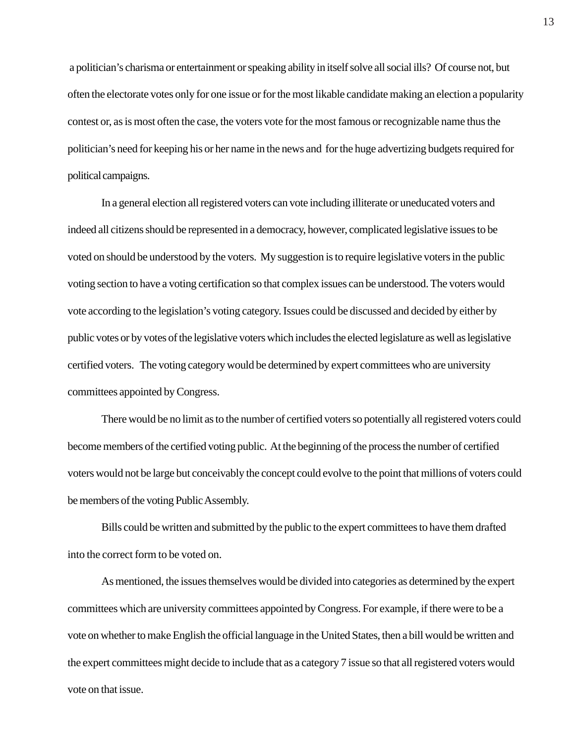a politician's charisma or entertainment or speaking ability in itself solve all social ills? Of course not, but often the electorate votes only for one issue or for the most likable candidate making an election a popularity contest or, as is most often the case, the voters vote for the most famous or recognizable name thus the politician's need for keeping his or her name in the news and for the huge advertizing budgets required for political campaigns.

In a general election all registered voters can vote including illiterate or uneducated voters and indeed all citizens should be represented in a democracy, however, complicated legislative issues to be voted on should be understood by the voters. My suggestion is to require legislative voters in the public voting section to have a voting certification so that complex issues can be understood. The voters would vote according to the legislation's voting category. Issues could be discussed and decided by either by public votes or by votes of the legislative voters which includes the elected legislature as well as legislative certified voters. The voting category would be determined by expert committees who are university committees appointed by Congress.

There would be no limit as to the number of certified voters so potentially all registered voters could become members of the certified voting public. At the beginning of the process the number of certified voters would not be large but conceivably the concept could evolve to the point that millions of voters could be members of the voting Public Assembly.

Bills could be written and submitted by the public to the expert committees to have them drafted into the correct form to be voted on.

As mentioned, the issues themselves would be divided into categories as determined by the expert committees which are university committees appointed by Congress. For example, if there were to be a vote on whether to make English the official language in the United States, then a bill would be written and the expert committees might decide to include that as a category 7 issue so that all registered voters would vote on that issue.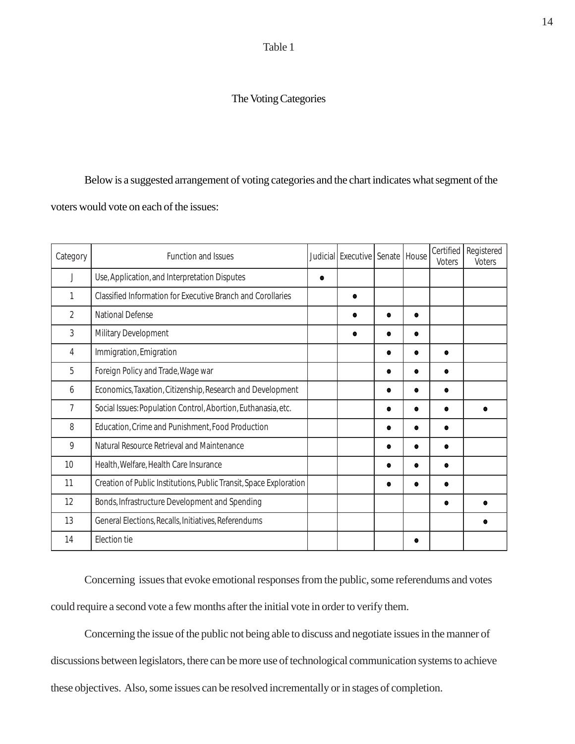Table 1

## The Voting Categories

### Below is a suggested arrangement of voting categories and the chart indicates what segment of the

voters would vote on each of the issues:

| Category       | Function and Issues                                                | Judicial Executive Senate House |           |   | Certified<br>Voters | Registered<br><b>Voters</b> |
|----------------|--------------------------------------------------------------------|---------------------------------|-----------|---|---------------------|-----------------------------|
| J              | Use, Application, and Interpretation Disputes                      |                                 |           |   |                     |                             |
| 1              | Classified Information for Executive Branch and Corollaries        |                                 |           |   |                     |                             |
| $\overline{2}$ | <b>National Defense</b>                                            |                                 |           |   |                     |                             |
| 3              | Military Development                                               |                                 |           |   |                     |                             |
| 4              | Immigration, Emigration                                            |                                 | $\bullet$ | e |                     |                             |
| 5              | Foreign Policy and Trade, Wage war                                 |                                 | $\bullet$ |   | $\bullet$           |                             |
| 6              | Economics, Taxation, Citizenship, Research and Development         |                                 | $\bullet$ |   |                     |                             |
| 7              | Social Issues: Population Control, Abortion, Euthanasia, etc.      |                                 |           | e |                     |                             |
| 8              | Education, Crime and Punishment, Food Production                   |                                 | $\bullet$ |   | $\bullet$           |                             |
| 9              | Natural Resource Retrieval and Maintenance                         |                                 | $\bullet$ |   |                     |                             |
| 10             | Health, Welfare, Health Care Insurance                             |                                 | $\bullet$ | O | $\bullet$           |                             |
| 11             | Creation of Public Institutions, Public Transit, Space Exploration |                                 | 0         |   |                     |                             |
| 12             | Bonds, Infrastructure Development and Spending                     |                                 |           |   |                     |                             |
| 13             | General Elections, Recalls, Initiatives, Referendums               |                                 |           |   |                     |                             |
| 14             | Election tie                                                       |                                 |           |   |                     |                             |

Concerning issues that evoke emotional responses from the public, some referendums and votes could require a second vote a few months after the initial vote in order to verify them.

Concerning the issue of the public not being able to discuss and negotiate issues in the manner of discussions between legislators, there can be more use of technological communication systems to achieve these objectives. Also, some issues can be resolved incrementally or in stages of completion.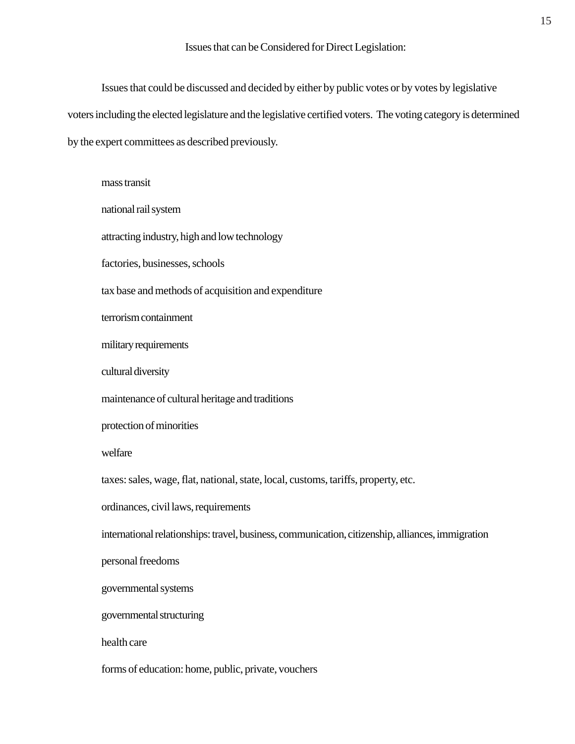Issues that can be Considered for Direct Legislation:

Issues that could be discussed and decided by either by public votes or by votes by legislative voters including the elected legislature and the legislative certified voters. The voting category is determined by the expert committees as described previously.

mass transit national rail system attracting industry, high and low technology factories, businesses, schools tax base and methods of acquisition and expenditure terrorism containment military requirements cultural diversity maintenance of cultural heritage and traditions protection of minorities welfare taxes: sales, wage, flat, national, state, local, customs, tariffs, property, etc. ordinances, civil laws, requirements international relationships: travel, business, communication, citizenship, alliances, immigration personal freedoms governmental systems governmental structuring health care forms of education: home, public, private, vouchers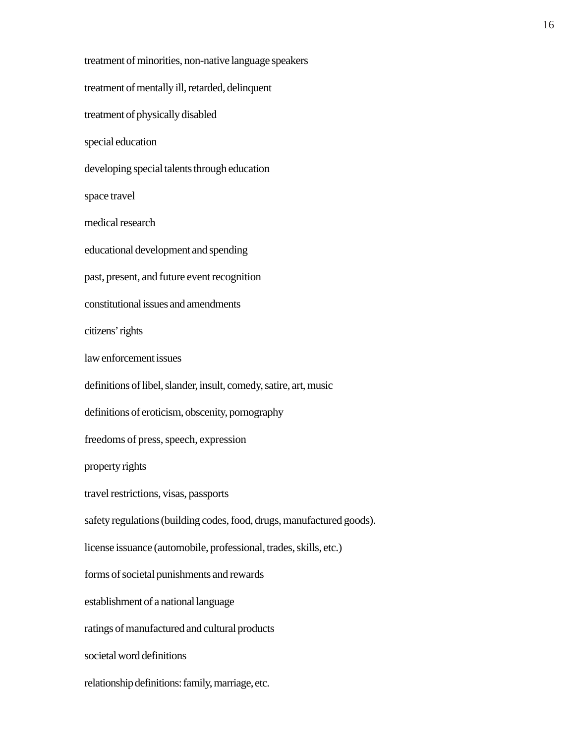treatment of minorities, non-native language speakers treatment of mentally ill, retarded, delinquent treatment of physically disabled special education developing special talents through education space travel medical research educational development and spending past, present, and future event recognition constitutional issues and amendments citizens' rights law enforcement issues definitions of libel, slander, insult, comedy, satire, art, music definitions of eroticism, obscenity, pornography freedoms of press, speech, expression property rights travel restrictions, visas, passports safety regulations (building codes, food, drugs, manufactured goods). license issuance (automobile, professional, trades, skills, etc.) forms of societal punishments and rewards establishment of a national language ratings of manufactured and cultural products societal word definitions relationship definitions: family, marriage, etc.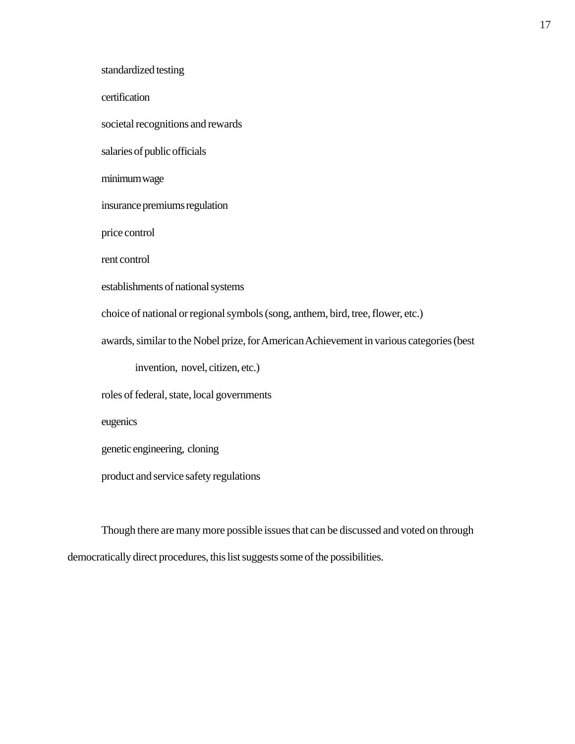standardized testing certification societal recognitions and rewards salaries of public officials minimum wage insurance premiums regulation price control rent control establishments of national systems choice of national or regional symbols (song, anthem, bird, tree, flower, etc.) awards, similar to the Nobel prize, for American Achievement in various categories (best invention, novel, citizen, etc.) roles of federal, state, local governments eugenics genetic engineering, cloning product and service safety regulations

Though there are many more possible issues that can be discussed and voted on through democratically direct procedures, this list suggests some of the possibilities.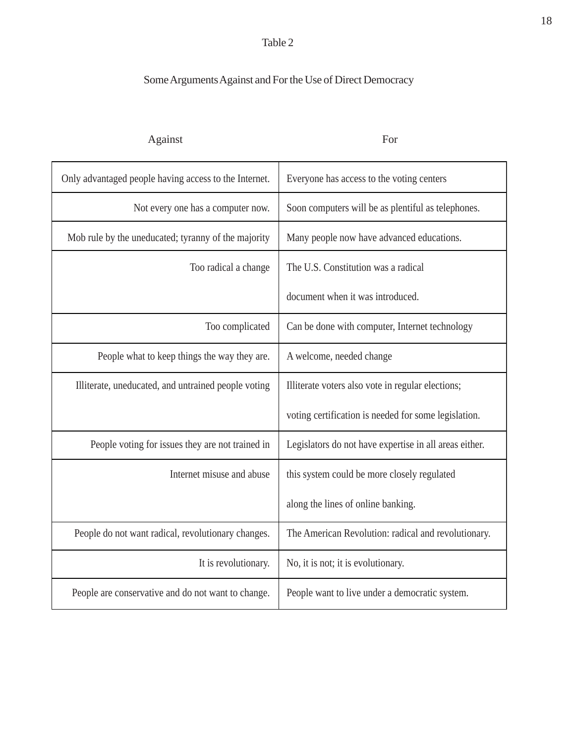## Table 2

# Some Arguments Against and For the Use of Direct Democracy

| Against                                               | For                                                    |  |  |
|-------------------------------------------------------|--------------------------------------------------------|--|--|
| Only advantaged people having access to the Internet. | Everyone has access to the voting centers              |  |  |
| Not every one has a computer now.                     | Soon computers will be as plentiful as telephones.     |  |  |
| Mob rule by the uneducated; tyranny of the majority   | Many people now have advanced educations.              |  |  |
| Too radical a change                                  | The U.S. Constitution was a radical                    |  |  |
|                                                       | document when it was introduced.                       |  |  |
| Too complicated                                       | Can be done with computer, Internet technology         |  |  |
| People what to keep things the way they are.          | A welcome, needed change                               |  |  |
| Illiterate, uneducated, and untrained people voting   | Illiterate voters also vote in regular elections;      |  |  |
|                                                       | voting certification is needed for some legislation.   |  |  |
| People voting for issues they are not trained in      | Legislators do not have expertise in all areas either. |  |  |
| Internet misuse and abuse                             | this system could be more closely regulated            |  |  |
|                                                       | along the lines of online banking.                     |  |  |
| People do not want radical, revolutionary changes.    | The American Revolution: radical and revolutionary.    |  |  |
| It is revolutionary.                                  | No, it is not; it is evolutionary.                     |  |  |
| People are conservative and do not want to change.    | People want to live under a democratic system.         |  |  |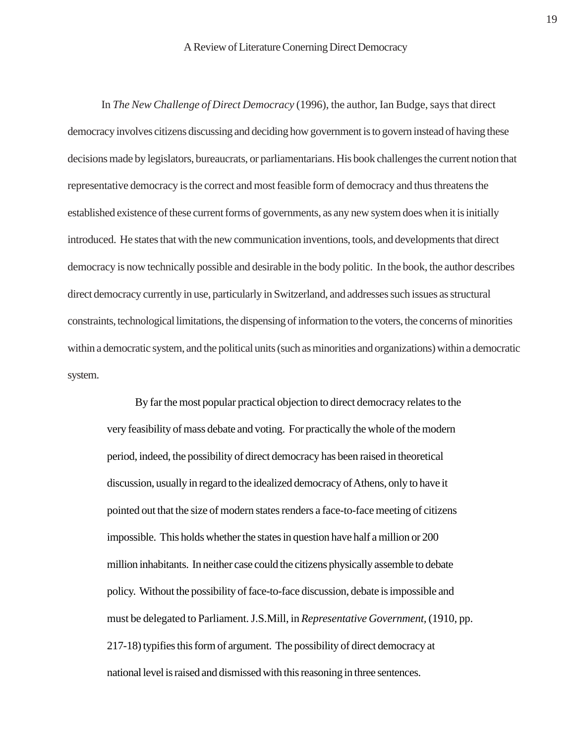In *The New Challenge of Direct Democracy* (1996), the author, Ian Budge, says that direct democracy involves citizens discussing and deciding how government is to govern instead of having these decisions made by legislators, bureaucrats, or parliamentarians. His book challenges the current notion that representative democracy is the correct and most feasible form of democracy and thus threatens the established existence of these current forms of governments, as any new system does when it is initially introduced. He states that with the new communication inventions, tools, and developments that direct democracy is now technically possible and desirable in the body politic. In the book, the author describes direct democracy currently in use, particularly in Switzerland, and addresses such issues as structural constraints, technological limitations, the dispensing of information to the voters, the concerns of minorities within a democratic system, and the political units (such as minorities and organizations) within a democratic system.

By far the most popular practical objection to direct democracy relates to the very feasibility of mass debate and voting. For practically the whole of the modern period, indeed, the possibility of direct democracy has been raised in theoretical discussion, usually in regard to the idealized democracy of Athens, only to have it pointed out that the size of modern states renders a face-to-face meeting of citizens impossible. This holds whether the states in question have half a million or 200 million inhabitants. In neither case could the citizens physically assemble to debate policy. Without the possibility of face-to-face discussion, debate is impossible and must be delegated to Parliament. J.S.Mill, in *Representative Government,* (1910, pp. 217-18) typifies this form of argument. The possibility of direct democracy at national level is raised and dismissed with this reasoning in three sentences.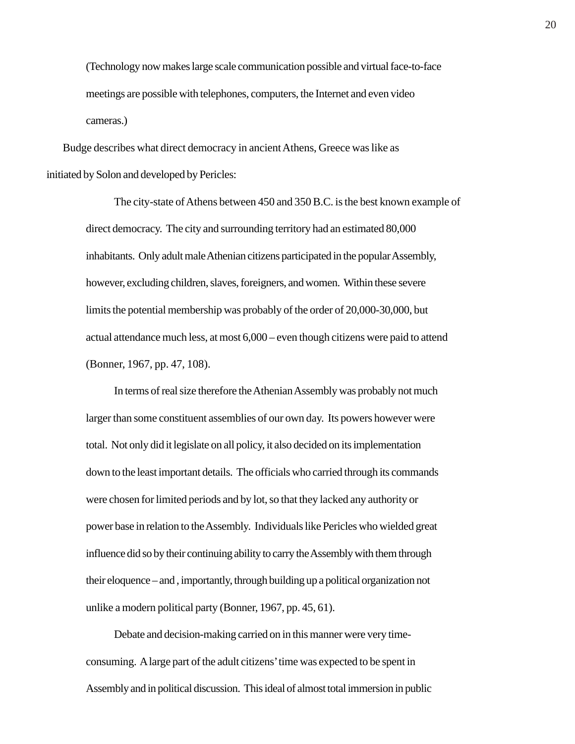(Technology now makes large scale communication possible and virtual face-to-face meetings are possible with telephones, computers, the Internet and even video cameras.)

 Budge describes what direct democracy in ancient Athens, Greece was like as initiated by Solon and developed by Pericles:

> The city-state of Athens between 450 and 350 B.C. is the best known example of direct democracy. The city and surrounding territory had an estimated 80,000 inhabitants. Only adult male Athenian citizens participated in the popular Assembly, however, excluding children, slaves, foreigners, and women. Within these severe limits the potential membership was probably of the order of 20,000-30,000, but actual attendance much less, at most 6,000 – even though citizens were paid to attend (Bonner, 1967, pp. 47, 108).

In terms of real size therefore the Athenian Assembly was probably not much larger than some constituent assemblies of our own day. Its powers however were total. Not only did it legislate on all policy, it also decided on its implementation down to the least important details. The officials who carried through its commands were chosen for limited periods and by lot, so that they lacked any authority or power base in relation to the Assembly. Individuals like Pericles who wielded great influence did so by their continuing ability to carry the Assembly with them through their eloquence – and , importantly, through building up a political organization not unlike a modern political party (Bonner, 1967, pp. 45, 61).

Debate and decision-making carried on in this manner were very timeconsuming. A large part of the adult citizens' time was expected to be spent in Assembly and in political discussion. This ideal of almost total immersion in public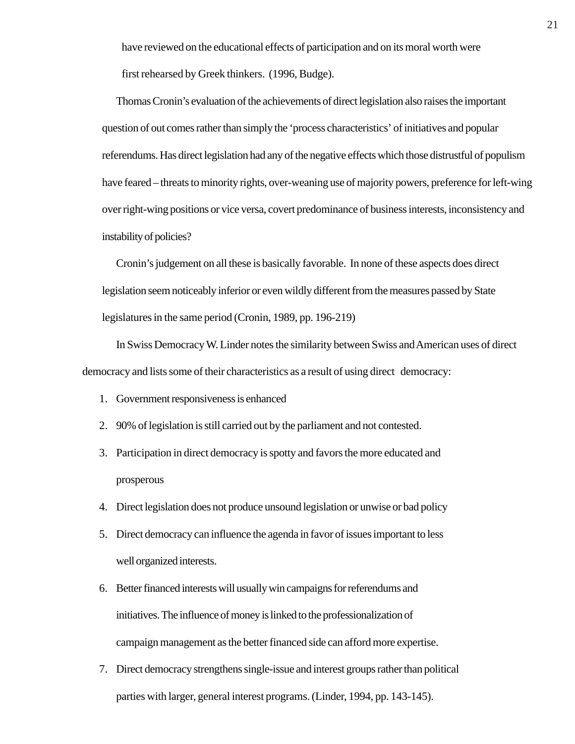have reviewed on the educational effects of participation and on its moral worth were first rehearsed by Greek thinkers. (1996, Budge).

Thomas Cronin's evaluation of the achievements of direct legislation also raises the important question of out comes rather than simply the 'process characteristics' of initiatives and popular referendums. Has direct legislation had any of the negative effects which those distrustful of populism have feared – threats to minority rights, over-weaning use of majority powers, preference for left-wing over right-wing positions or vice versa, covert predominance of business interests, inconsistency and instability of policies?

Cronin's judgement on all these is basically favorable. In none of these aspects does direct legislation seem noticeably inferior or even wildly different from the measures passed by State legislatures in the same period (Cronin, 1989, pp. 196-219)

In Swiss Democracy W. Linder notes the similarity between Swiss and American uses of direct democracy and lists some of their characteristics as a result of using direct democracy:

- 1. Government responsiveness is enhanced
- 2. 90% of legislation is still carried out by the parliament and not contested.
- 3. Participation in direct democracy is spotty and favors the more educated and prosperous
- 4. Direct legislation does not produce unsound legislation or unwise or bad policy
- 5. Direct democracy can influence the agenda in favor of issues important to less well organized interests.
- 6. Better financed interests will usually win campaigns for referendums and initiatives. The influence of money is linked to the professionalization of campaign management as the better financed side can afford more expertise.
- 7. Direct democracy strengthens single-issue and interest groups rather than political parties with larger, general interest programs. (Linder, 1994, pp. 143-145).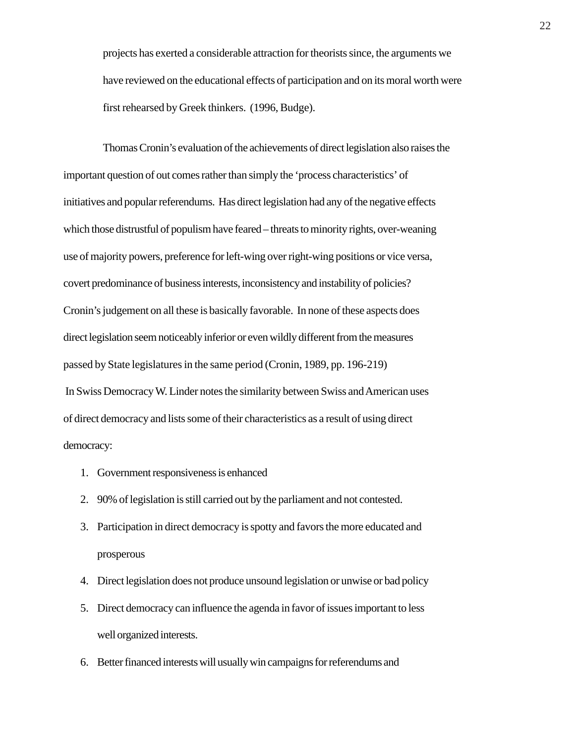projects has exerted a considerable attraction for theorists since, the arguments we have reviewed on the educational effects of participation and on its moral worth were first rehearsed by Greek thinkers. (1996, Budge).

Thomas Cronin's evaluation of the achievements of direct legislation also raises the important question of out comes rather than simply the 'process characteristics' of initiatives and popular referendums. Has direct legislation had any of the negative effects which those distrustful of populism have feared – threats to minority rights, over-weaning use of majority powers, preference for left-wing over right-wing positions or vice versa, covert predominance of business interests, inconsistency and instability of policies? Cronin's judgement on all these is basically favorable. In none of these aspects does direct legislation seem noticeably inferior or even wildly different from the measures passed by State legislatures in the same period (Cronin, 1989, pp. 196-219) In Swiss Democracy W. Linder notes the similarity between Swiss and American uses of direct democracy and lists some of their characteristics as a result of using direct democracy:

- 1. Government responsiveness is enhanced
- 2. 90% of legislation is still carried out by the parliament and not contested.
- 3. Participation in direct democracy is spotty and favors the more educated and prosperous
- 4. Direct legislation does not produce unsound legislation or unwise or bad policy
- 5. Direct democracy can influence the agenda in favor of issues important to less well organized interests.
- 6. Better financed interests will usually win campaigns for referendums and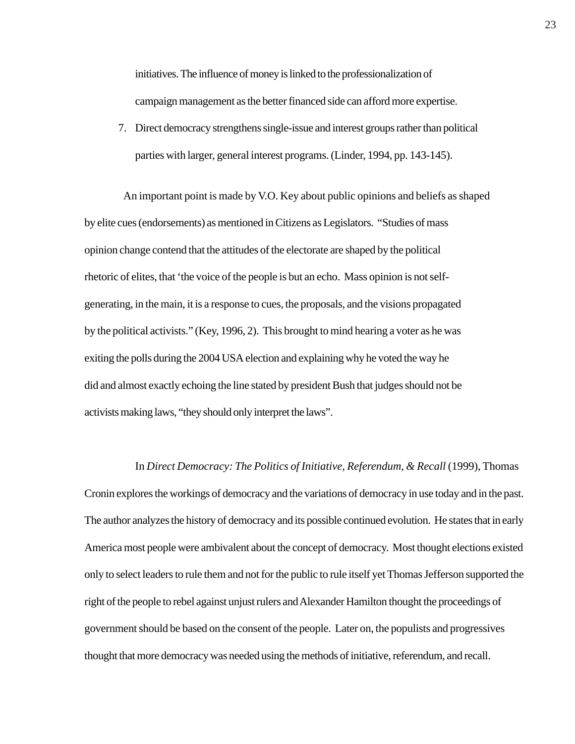initiatives. The influence of money is linked to the professionalization of campaign management as the better financed side can afford more expertise.

7. Direct democracy strengthens single-issue and interest groups rather than political parties with larger, general interest programs. (Linder, 1994, pp. 143-145).

 An important point is made by V.O. Key about public opinions and beliefs as shaped by elite cues (endorsements) as mentioned in Citizens as Legislators. "Studies of mass opinion change contend that the attitudes of the electorate are shaped by the political rhetoric of elites, that 'the voice of the people is but an echo. Mass opinion is not selfgenerating, in the main, it is a response to cues, the proposals, and the visions propagated by the political activists." (Key, 1996, 2). This brought to mind hearing a voter as he was exiting the polls during the 2004 USA election and explaining why he voted the way he did and almost exactly echoing the line stated by president Bush that judges should not be activists making laws, "they should only interpret the laws".

# In *Direct Democracy: The Politics of Initiative, Referendum, & Recall* (1999), Thomas

Cronin explores the workings of democracy and the variations of democracy in use today and in the past. The author analyzes the history of democracy and its possible continued evolution. He states that in early America most people were ambivalent about the concept of democracy. Most thought elections existed only to select leaders to rule them and not for the public to rule itself yet Thomas Jefferson supported the right of the people to rebel against unjust rulers and Alexander Hamilton thought the proceedings of government should be based on the consent of the people. Later on, the populists and progressives thought that more democracy was needed using the methods of initiative, referendum, and recall.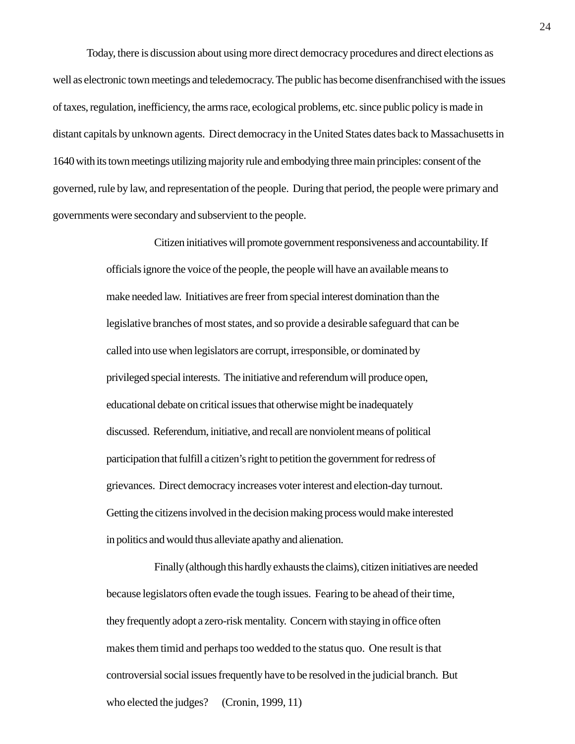Today, there is discussion about using more direct democracy procedures and direct elections as well as electronic town meetings and teledemocracy. The public has become disenfranchised with the issues of taxes, regulation, inefficiency, the arms race, ecological problems, etc. since public policy is made in distant capitals by unknown agents. Direct democracy in the United States dates back to Massachusetts in 1640 with its town meetings utilizing majority rule and embodying three main principles: consent of the governed, rule by law, and representation of the people. During that period, the people were primary and governments were secondary and subservient to the people.

> Citizen initiatives will promote government responsiveness and accountability. If officials ignore the voice of the people, the people will have an available means to make needed law. Initiatives are freer from special interest domination than the legislative branches of most states, and so provide a desirable safeguard that can be called into use when legislators are corrupt, irresponsible, or dominated by privileged special interests. The initiative and referendum will produce open, educational debate on critical issues that otherwise might be inadequately discussed. Referendum, initiative, and recall are nonviolent means of political participation that fulfill a citizen's right to petition the government for redress of grievances. Direct democracy increases voter interest and election-day turnout. Getting the citizens involved in the decision making process would make interested in politics and would thus alleviate apathy and alienation.

Finally (although this hardly exhausts the claims), citizen initiatives are needed because legislators often evade the tough issues. Fearing to be ahead of their time, they frequently adopt a zero-risk mentality. Concern with staying in office often makes them timid and perhaps too wedded to the status quo. One result is that controversial social issues frequently have to be resolved in the judicial branch. But who elected the judges? (Cronin, 1999, 11)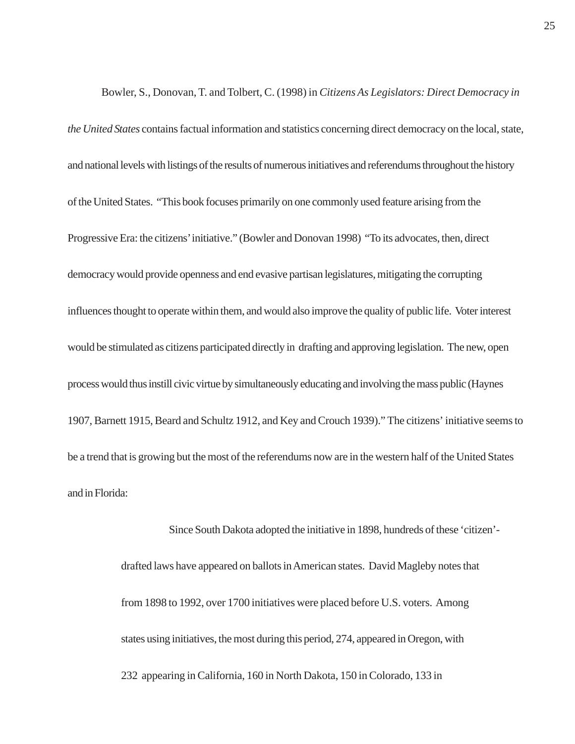Bowler, S., Donovan, T. and Tolbert, C. (1998) in *Citizens As Legislators: Direct Democracy in the United States* contains factual information and statistics concerning direct democracy on the local, state, and national levels with listings of the results of numerous initiatives and referendums throughout the history of the United States. "This book focuses primarily on one commonly used feature arising from the Progressive Era: the citizens' initiative." (Bowler and Donovan 1998) "To its advocates, then, direct democracy would provide openness and end evasive partisan legislatures, mitigating the corrupting influences thought to operate within them, and would also improve the quality of public life. Voter interest would be stimulated as citizens participated directly in drafting and approving legislation. The new, open process would thus instill civic virtue by simultaneously educating and involving the mass public (Haynes 1907, Barnett 1915, Beard and Schultz 1912, and Key and Crouch 1939)." The citizens' initiative seems to be a trend that is growing but the most of the referendums now are in the western half of the United States and in Florida:

> Since South Dakota adopted the initiative in 1898, hundreds of these 'citizen' drafted laws have appeared on ballots in American states. David Magleby notes that from 1898 to 1992, over 1700 initiatives were placed before U.S. voters. Among states using initiatives, the most during this period, 274, appeared in Oregon, with 232 appearing in California, 160 in North Dakota, 150 in Colorado, 133 in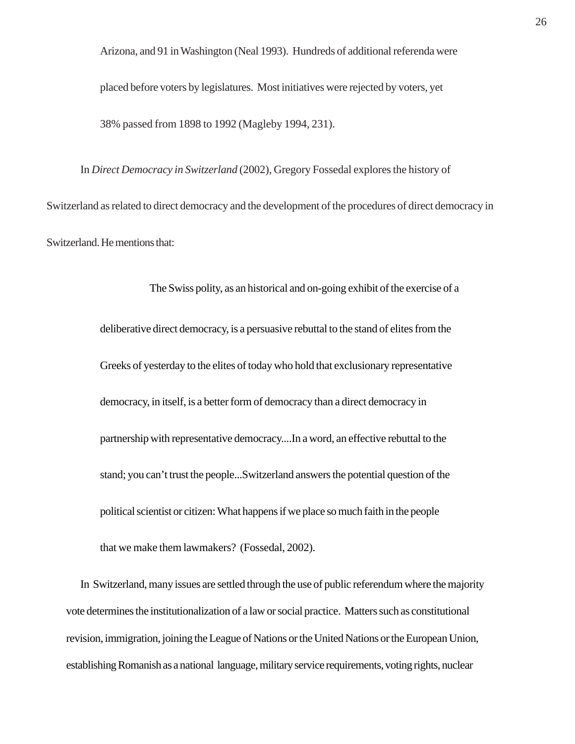Arizona, and 91 in Washington (Neal 1993). Hundreds of additional referenda were placed before voters by legislatures. Most initiatives were rejected by voters, yet 38% passed from 1898 to 1992 (Magleby 1994, 231).

In *Direct Democracy in Switzerland* (2002), Gregory Fossedal explores the history of Switzerland as related to direct democracy and the development of the procedures of direct democracy in Switzerland. He mentions that:

> The Swiss polity, as an historical and on-going exhibit of the exercise of a deliberative direct democracy, is a persuasive rebuttal to the stand of elites from the Greeks of yesterday to the elites of today who hold that exclusionary representative democracy, in itself, is a better form of democracy than a direct democracy in partnership with representative democracy....In a word, an effective rebuttal to the stand; you can't trust the people...Switzerland answers the potential question of the political scientist or citizen: What happens if we place so much faith in the people that we make them lawmakers? (Fossedal, 2002).

In Switzerland, many issues are settled through the use of public referendum where the majority vote determines the institutionalization of a law or social practice. Matters such as constitutional revision, immigration, joining the League of Nations or the United Nations or the European Union, establishing Romanish as a national language, military service requirements, voting rights, nuclear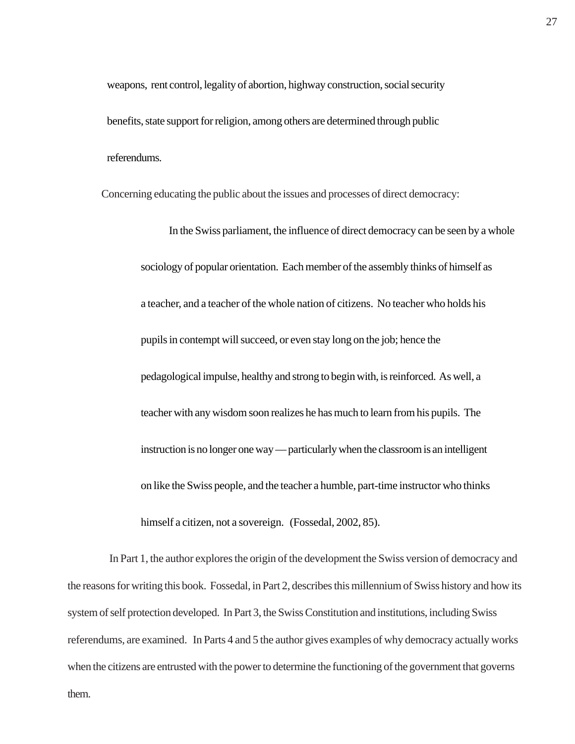weapons, rent control, legality of abortion, highway construction, social security benefits, state support for religion, among others are determined through public referendums.

Concerning educating the public about the issues and processes of direct democracy:

In the Swiss parliament, the influence of direct democracy can be seen by a whole sociology of popular orientation. Each member of the assembly thinks of himself as a teacher, and a teacher of the whole nation of citizens. No teacher who holds his pupils in contempt will succeed, or even stay long on the job; hence the pedagological impulse, healthy and strong to begin with, is reinforced. As well, a teacher with any wisdom soon realizes he has much to learn from his pupils. The instruction is no longer one way — particularly when the classroom is an intelligent on like the Swiss people, and the teacher a humble, part-time instructor who thinks himself a citizen, not a sovereign. (Fossedal, 2002, 85).

 In Part 1, the author explores the origin of the development the Swiss version of democracy and the reasons for writing this book. Fossedal, in Part 2, describes this millennium of Swiss history and how its system of self protection developed. In Part 3, the Swiss Constitution and institutions, including Swiss referendums, are examined. In Parts 4 and 5 the author gives examples of why democracy actually works when the citizens are entrusted with the power to determine the functioning of the government that governs them.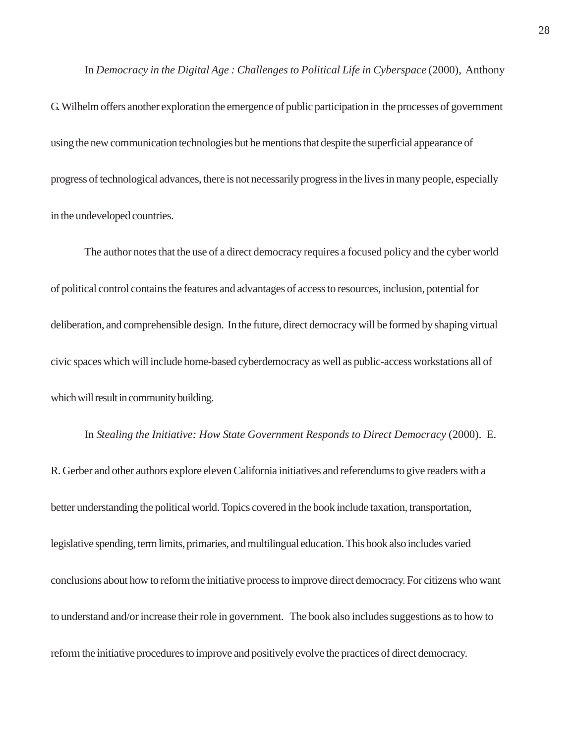In *Democracy in the Digital Age : Challenges to Political Life in Cyberspace* (2000), Anthony

G. Wilhelm offers another exploration the emergence of public participation in the processes of government using the new communication technologies but he mentions that despite the superficial appearance of progress of technological advances, there is not necessarily progress in the lives in many people, especially in the undeveloped countries.

The author notes that the use of a direct democracy requires a focused policy and the cyber world of political control contains the features and advantages of access to resources, inclusion, potential for deliberation, and comprehensible design. In the future, direct democracy will be formed by shaping virtual civic spaces which will include home-based cyberdemocracy as well as public-access workstations all of which will result in community building.

In *Stealing the Initiative: How State Government Responds to Direct Democracy* (2000). E. R. Gerber and other authors explore eleven California initiatives and referendums to give readers with a better understanding the political world. Topics covered in the book include taxation, transportation, legislative spending, term limits, primaries, and multilingual education. This book also includes varied conclusions about how to reform the initiative process to improve direct democracy. For citizens who want to understand and/or increase their role in government. The book also includes suggestions as to how to reform the initiative procedures to improve and positively evolve the practices of direct democracy.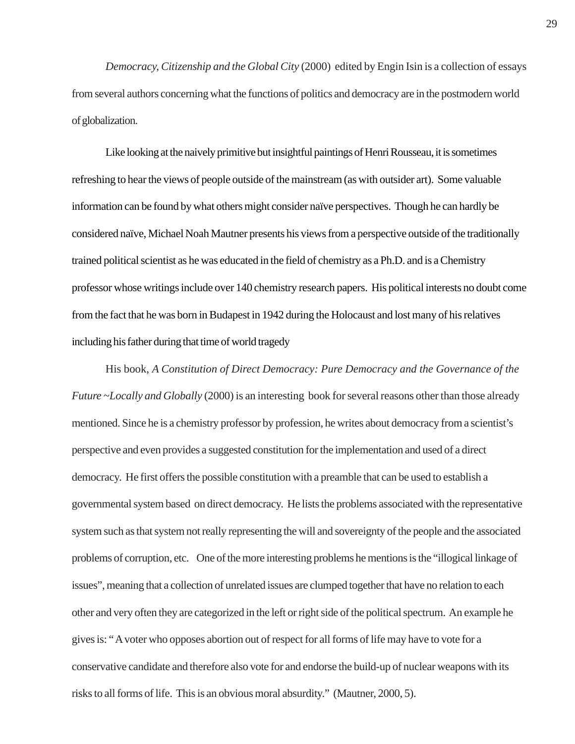*Democracy, Citizenship and the Global City* (2000) edited by Engin Isin is a collection of essays from several authors concerning what the functions of politics and democracy are in the postmodern world of globalization.

Like looking at the naively primitive but insightful paintings of Henri Rousseau, it is sometimes refreshing to hear the views of people outside of the mainstream (as with outsider art). Some valuable information can be found by what others might consider naïve perspectives. Though he can hardly be considered naïve, Michael Noah Mautner presents his views from a perspective outside of the traditionally trained political scientist as he was educated in the field of chemistry as a Ph.D. and is a Chemistry professor whose writings include over 140 chemistry research papers. His political interests no doubt come from the fact that he was born in Budapest in 1942 during the Holocaust and lost many of his relatives including his father during that time of world tragedy

His book, *A Constitution of Direct Democracy: Pure Democracy and the Governance of the Future ~Locally and Globally* (2000) is an interesting book for several reasons other than those already mentioned. Since he is a chemistry professor by profession, he writes about democracy from a scientist's perspective and even provides a suggested constitution for the implementation and used of a direct democracy. He first offers the possible constitution with a preamble that can be used to establish a governmental system based on direct democracy. He lists the problems associated with the representative system such as that system not really representing the will and sovereignty of the people and the associated problems of corruption, etc. One of the more interesting problems he mentions is the "illogical linkage of issues", meaning that a collection of unrelated issues are clumped together that have no relation to each other and very often they are categorized in the left or right side of the political spectrum. An example he gives is: " A voter who opposes abortion out of respect for all forms of life may have to vote for a conservative candidate and therefore also vote for and endorse the build-up of nuclear weapons with its risks to all forms of life. This is an obvious moral absurdity." (Mautner, 2000, 5).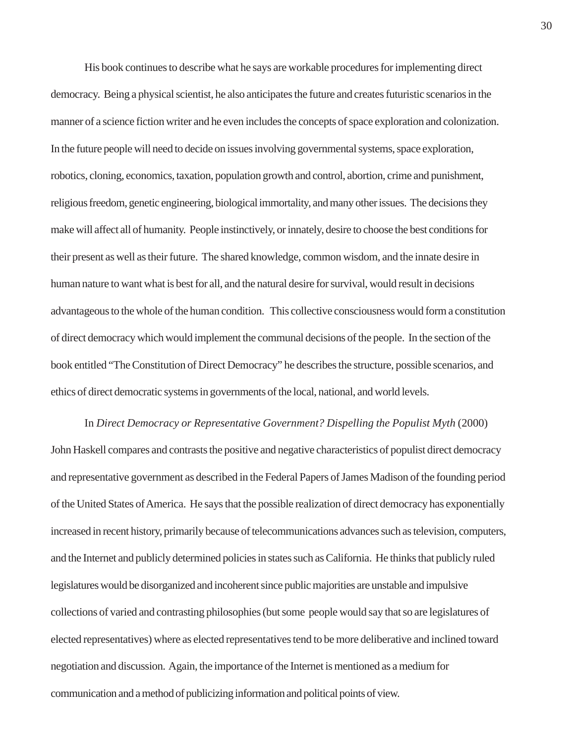His book continues to describe what he says are workable procedures for implementing direct democracy. Being a physical scientist, he also anticipates the future and creates futuristic scenarios in the manner of a science fiction writer and he even includes the concepts of space exploration and colonization. In the future people will need to decide on issues involving governmental systems, space exploration, robotics, cloning, economics, taxation, population growth and control, abortion, crime and punishment, religious freedom, genetic engineering, biological immortality, and many other issues. The decisions they make will affect all of humanity. People instinctively, or innately, desire to choose the best conditions for their present as well as their future. The shared knowledge, common wisdom, and the innate desire in human nature to want what is best for all, and the natural desire for survival, would result in decisions advantageous to the whole of the human condition. This collective consciousness would form a constitution of direct democracy which would implement the communal decisions of the people. In the section of the book entitled "The Constitution of Direct Democracy" he describes the structure, possible scenarios, and ethics of direct democratic systems in governments of the local, national, and world levels.

In *Direct Democracy or Representative Government? Dispelling the Populist Myth* (2000) John Haskell compares and contrasts the positive and negative characteristics of populist direct democracy and representative government as described in the Federal Papers of James Madison of the founding period of the United States of America. He says that the possible realization of direct democracy has exponentially increased in recent history, primarily because of telecommunications advances such as television, computers, and the Internet and publicly determined policies in states such as California. He thinks that publicly ruled legislatures would be disorganized and incoherent since public majorities are unstable and impulsive collections of varied and contrasting philosophies (but some people would say that so are legislatures of elected representatives) where as elected representatives tend to be more deliberative and inclined toward negotiation and discussion. Again, the importance of the Internet is mentioned as a medium for communication and a method of publicizing information and political points of view.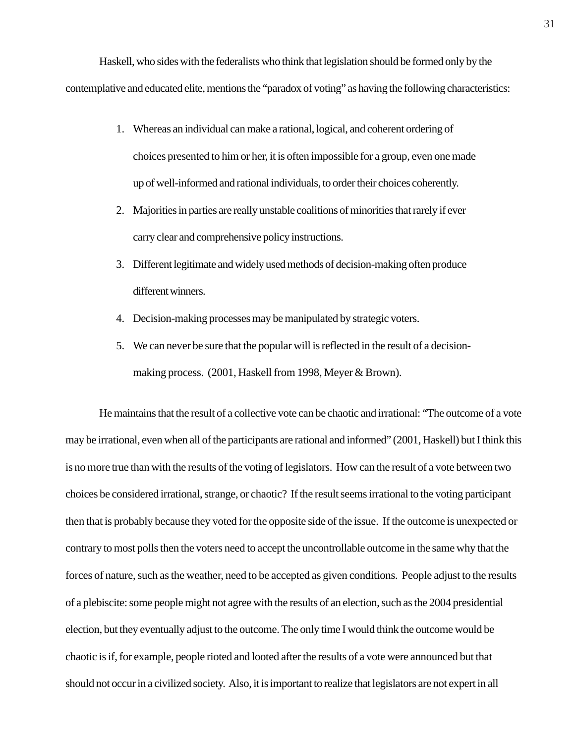Haskell, who sides with the federalists who think that legislation should be formed only by the contemplative and educated elite, mentions the "paradox of voting" as having the following characteristics:

- 1. Whereas an individual can make a rational, logical, and coherent ordering of choices presented to him or her, it is often impossible for a group, even one made up of well-informed and rational individuals, to order their choices coherently.
- 2. Majorities in parties are really unstable coalitions of minorities that rarely if ever carry clear and comprehensive policy instructions.
- 3. Different legitimate and widely used methods of decision-making often produce different winners.
- 4. Decision-making processes may be manipulated by strategic voters.
- 5. We can never be sure that the popular will is reflected in the result of a decisionmaking process. (2001, Haskell from 1998, Meyer & Brown).

He maintains that the result of a collective vote can be chaotic and irrational: "The outcome of a vote may be irrational, even when all of the participants are rational and informed" (2001, Haskell) but I think this is no more true than with the results of the voting of legislators. How can the result of a vote between two choices be considered irrational, strange, or chaotic? If the result seems irrational to the voting participant then that is probably because they voted for the opposite side of the issue. If the outcome is unexpected or contrary to most polls then the voters need to accept the uncontrollable outcome in the same why that the forces of nature, such as the weather, need to be accepted as given conditions. People adjust to the results of a plebiscite: some people might not agree with the results of an election, such as the 2004 presidential election, but they eventually adjust to the outcome. The only time I would think the outcome would be chaotic is if, for example, people rioted and looted after the results of a vote were announced but that should not occur in a civilized society. Also, it is important to realize that legislators are not expert in all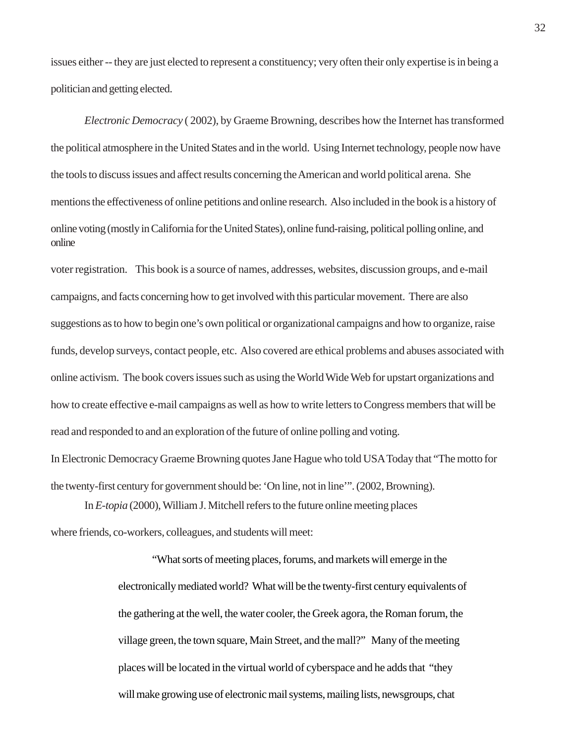issues either -- they are just elected to represent a constituency; very often their only expertise is in being a politician and getting elected.

*Electronic Democracy* ( 2002), by Graeme Browning, describes how the Internet has transformed the political atmosphere in the United States and in the world. Using Internet technology, people now have the tools to discuss issues and affect results concerning the American and world political arena. She mentions the effectiveness of online petitions and online research. Also included in the book is a history of online voting (mostly in California for the United States), online fund-raising, political polling online, and online

voter registration. This book is a source of names, addresses, websites, discussion groups, and e-mail campaigns, and facts concerning how to get involved with this particular movement. There are also suggestions as to how to begin one's own political or organizational campaigns and how to organize, raise funds, develop surveys, contact people, etc. Also covered are ethical problems and abuses associated with online activism. The book covers issues such as using the World Wide Web for upstart organizations and how to create effective e-mail campaigns as well as how to write letters to Congress members that will be read and responded to and an exploration of the future of online polling and voting.

In Electronic Democracy Graeme Browning quotes Jane Hague who told USA Today that "The motto for the twenty-first century for government should be: 'On line, not in line'". (2002, Browning).

In *E-topia* (2000), William J. Mitchell refers to the future online meeting places

where friends, co-workers, colleagues, and students will meet:

"What sorts of meeting places, forums, and markets will emerge in the electronically mediated world? What will be the twenty-first century equivalents of the gathering at the well, the water cooler, the Greek agora, the Roman forum, the village green, the town square, Main Street, and the mall?" Many of the meeting places will be located in the virtual world of cyberspace and he adds that "they will make growing use of electronic mail systems, mailing lists, newsgroups, chat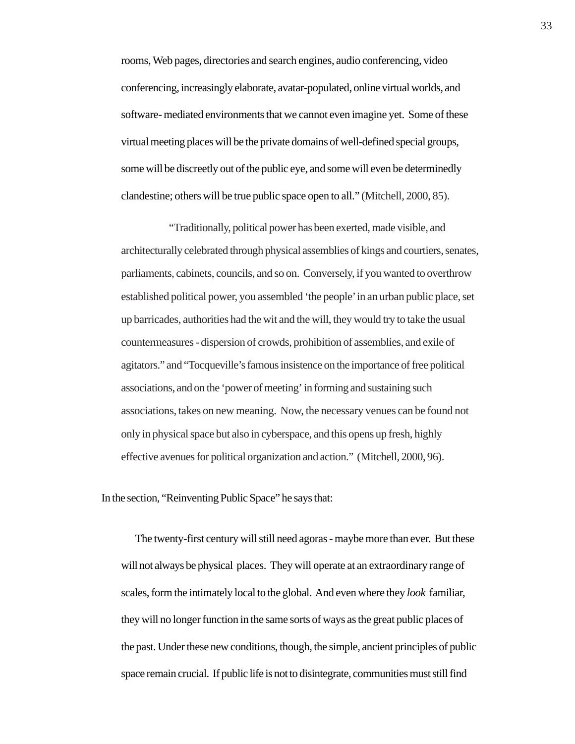rooms, Web pages, directories and search engines, audio conferencing, video conferencing, increasingly elaborate, avatar-populated, online virtual worlds, and software- mediated environments that we cannot even imagine yet. Some of these virtual meeting places will be the private domains of well-defined special groups, some will be discreetly out of the public eye, and some will even be determinedly clandestine; others will be true public space open to all." (Mitchell, 2000, 85).

"Traditionally, political power has been exerted, made visible, and architecturally celebrated through physical assemblies of kings and courtiers, senates, parliaments, cabinets, councils, and so on. Conversely, if you wanted to overthrow established political power, you assembled 'the people' in an urban public place, set up barricades, authorities had the wit and the will, they would try to take the usual countermeasures - dispersion of crowds, prohibition of assemblies, and exile of agitators." and "Tocqueville's famous insistence on the importance of free political associations, and on the 'power of meeting' in forming and sustaining such associations, takes on new meaning. Now, the necessary venues can be found not only in physical space but also in cyberspace, and this opens up fresh, highly effective avenues for political organization and action." (Mitchell, 2000, 96).

In the section, "Reinventing Public Space" he says that:

The twenty-first century will still need agoras - maybe more than ever. But these will not always be physical places. They will operate at an extraordinary range of scales, form the intimately local to the global. And even where they *look* familiar, they will no longer function in the same sorts of ways as the great public places of the past. Under these new conditions, though, the simple, ancient principles of public space remain crucial. If public life is not to disintegrate, communities must still find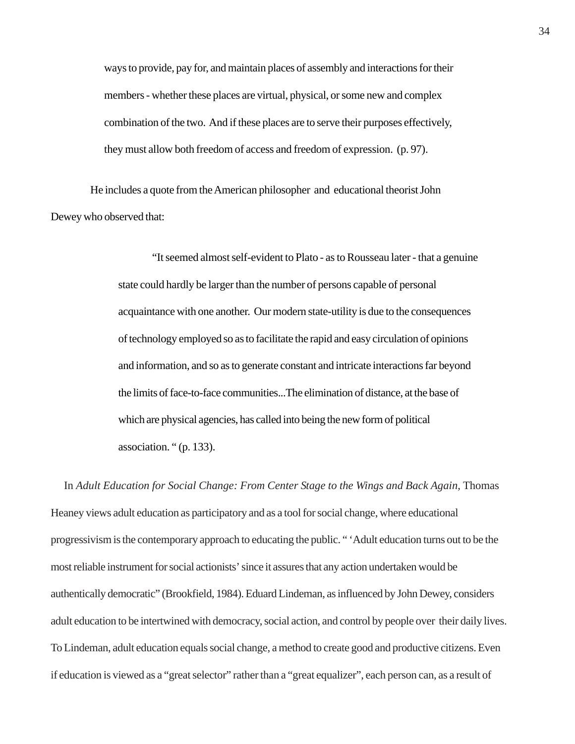ways to provide, pay for, and maintain places of assembly and interactions for their members - whether these places are virtual, physical, or some new and complex combination of the two. And if these places are to serve their purposes effectively, they must allow both freedom of access and freedom of expression. (p. 97).

 He includes a quote from the American philosopher and educational theorist John Dewey who observed that:

> "It seemed almost self-evident to Plato - as to Rousseau later - that a genuine state could hardly be larger than the number of persons capable of personal acquaintance with one another. Our modern state-utility is due to the consequences of technology employed so as to facilitate the rapid and easy circulation of opinions and information, and so as to generate constant and intricate interactions far beyond the limits of face-to-face communities...The elimination of distance, at the base of which are physical agencies, has called into being the new form of political association. " (p. 133).

 In *Adult Education for Social Change: From Center Stage to the Wings and Back Again*, Thomas Heaney views adult education as participatory and as a tool for social change, where educational progressivism is the contemporary approach to educating the public. " 'Adult education turns out to be the most reliable instrument for social actionists' since it assures that any action undertaken would be authentically democratic" (Brookfield, 1984). Eduard Lindeman, as influenced by John Dewey, considers adult education to be intertwined with democracy, social action, and control by people over their daily lives. To Lindeman, adult education equals social change, a method to create good and productive citizens. Even if education is viewed as a "great selector" rather than a "great equalizer", each person can, as a result of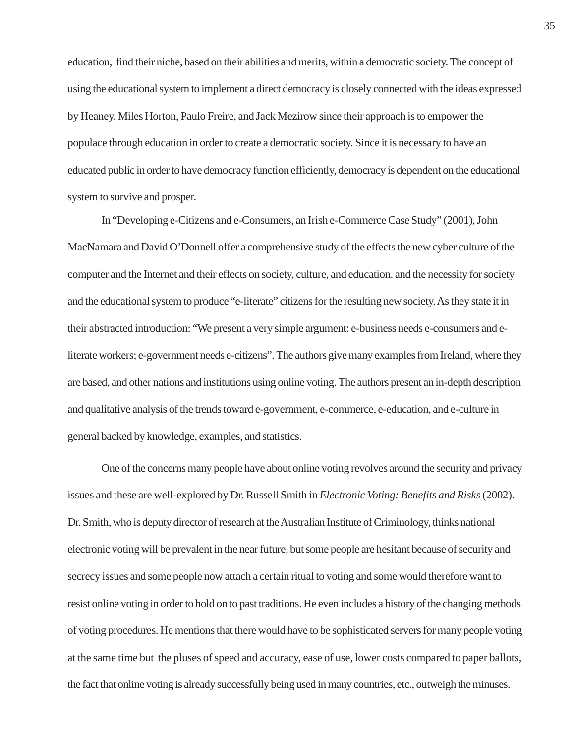education, find their niche, based on their abilities and merits, within a democratic society. The concept of using the educational system to implement a direct democracy is closely connected with the ideas expressed by Heaney, Miles Horton, Paulo Freire, and Jack Mezirow since their approach is to empower the populace through education in order to create a democratic society. Since it is necessary to have an educated public in order to have democracy function efficiently, democracy is dependent on the educational system to survive and prosper.

In "Developing e-Citizens and e-Consumers, an Irish e-Commerce Case Study" (2001), John MacNamara and David O'Donnell offer a comprehensive study of the effects the new cyber culture of the computer and the Internet and their effects on society, culture, and education. and the necessity for society and the educational system to produce "e-literate" citizens for the resulting new society. As they state it in their abstracted introduction: "We present a very simple argument: e-business needs e-consumers and eliterate workers; e-government needs e-citizens". The authors give many examples from Ireland, where they are based, and other nations and institutions using online voting. The authors present an in-depth description and qualitative analysis of the trends toward e-government, e-commerce, e-education, and e-culture in general backed by knowledge, examples, and statistics.

One of the concerns many people have about online voting revolves around the security and privacy issues and these are well-explored by Dr. Russell Smith in *Electronic Voting: Benefits and Risks* (2002). Dr. Smith, who is deputy director of research at the Australian Institute of Criminology, thinks national electronic voting will be prevalent in the near future, but some people are hesitant because of security and secrecy issues and some people now attach a certain ritual to voting and some would therefore want to resist online voting in order to hold on to past traditions. He even includes a history of the changing methods of voting procedures. He mentions that there would have to be sophisticated servers for many people voting at the same time but the pluses of speed and accuracy, ease of use, lower costs compared to paper ballots, the fact that online voting is already successfully being used in many countries, etc., outweigh the minuses.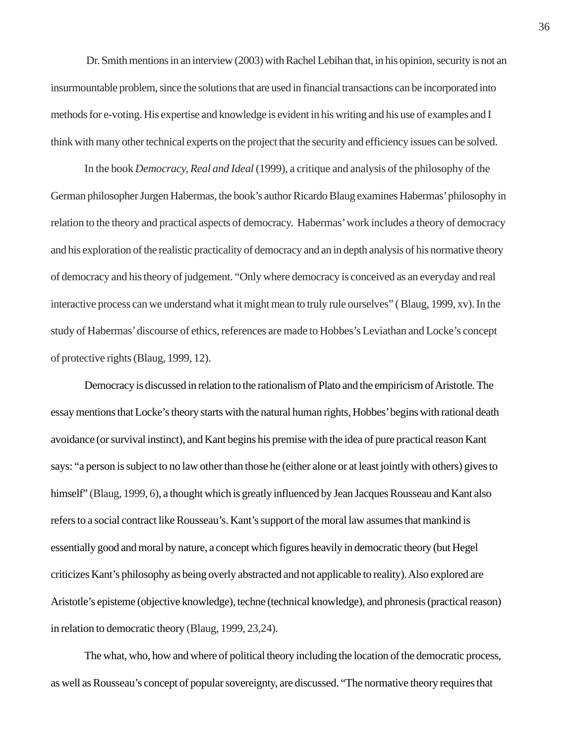Dr. Smith mentions in an interview (2003) with Rachel Lebihan that, in his opinion, security is not an insurmountable problem, since the solutions that are used in financial transactions can be incorporated into methods for e-voting. His expertise and knowledge is evident in his writing and his use of examples and I think with many other technical experts on the project that the security and efficiency issues can be solved.

In the book *Democracy, Real and Ideal* (1999), a critique and analysis of the philosophy of the German philosopher Jurgen Habermas, the book's author Ricardo Blaug examines Habermas' philosophy in relation to the theory and practical aspects of democracy. Habermas' work includes a theory of democracy and his exploration of the realistic practicality of democracy and an in depth analysis of his normative theory of democracy and his theory of judgement. "Only where democracy is conceived as an everyday and real interactive process can we understand what it might mean to truly rule ourselves" ( Blaug, 1999, xv). In the study of Habermas' discourse of ethics, references are made to Hobbes's Leviathan and Locke's concept of protective rights (Blaug, 1999, 12).

Democracy is discussed in relation to the rationalism of Plato and the empiricism of Aristotle. The essay mentions that Locke's theory starts with the natural human rights, Hobbes' begins with rational death avoidance (or survival instinct), and Kant begins his premise with the idea of pure practical reason Kant says: "a person is subject to no law other than those he (either alone or at least jointly with others) gives to himself" (Blaug, 1999, 6), a thought which is greatly influenced by Jean Jacques Rousseau and Kant also refers to a social contract like Rousseau's. Kant's support of the moral law assumes that mankind is essentially good and moral by nature, a concept which figures heavily in democratic theory (but Hegel criticizes Kant's philosophy as being overly abstracted and not applicable to reality). Also explored are Aristotle's episteme (objective knowledge), techne (technical knowledge), and phronesis (practical reason) in relation to democratic theory (Blaug, 1999, 23,24).

The what, who, how and where of political theory including the location of the democratic process, as well as Rousseau's concept of popular sovereignty, are discussed. "The normative theory requires that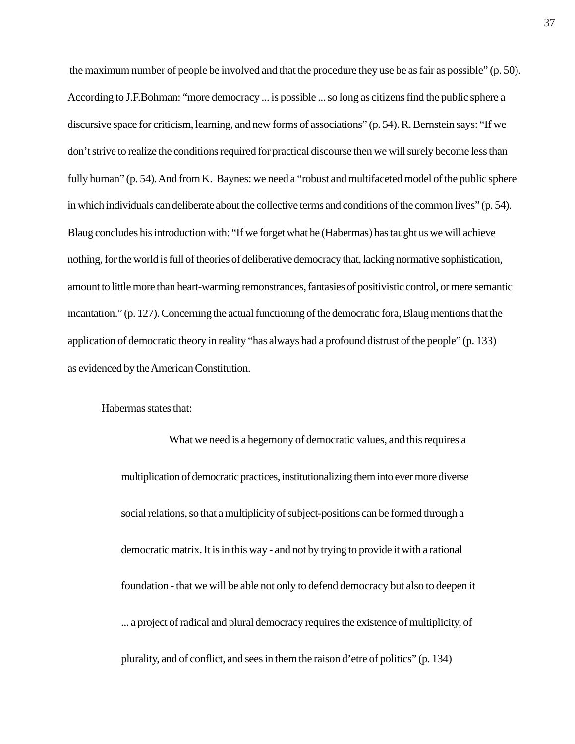the maximum number of people be involved and that the procedure they use be as fair as possible" (p. 50). According to J.F.Bohman: "more democracy ... is possible ... so long as citizens find the public sphere a discursive space for criticism, learning, and new forms of associations" (p. 54). R. Bernstein says: "If we don't strive to realize the conditions required for practical discourse then we will surely become less than fully human" (p. 54). And from K. Baynes: we need a "robust and multifaceted model of the public sphere in which individuals can deliberate about the collective terms and conditions of the common lives" (p. 54). Blaug concludes his introduction with: "If we forget what he (Habermas) has taught us we will achieve nothing, for the world is full of theories of deliberative democracy that, lacking normative sophistication, amount to little more than heart-warming remonstrances, fantasies of positivistic control, or mere semantic incantation." (p. 127). Concerning the actual functioning of the democratic fora, Blaug mentions that the application of democratic theory in reality "has always had a profound distrust of the people" (p. 133) as evidenced by the American Constitution.

Habermas states that:

What we need is a hegemony of democratic values, and this requires a multiplication of democratic practices, institutionalizing them into ever more diverse social relations, so that a multiplicity of subject-positions can be formed through a democratic matrix. It is in this way - and not by trying to provide it with a rational foundation - that we will be able not only to defend democracy but also to deepen it ... a project of radical and plural democracy requires the existence of multiplicity, of plurality, and of conflict, and sees in them the raison d'etre of politics" (p. 134)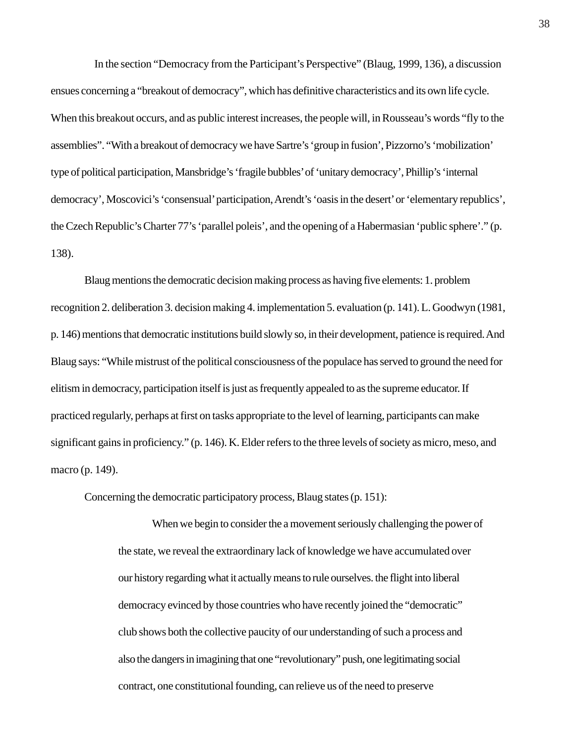In the section "Democracy from the Participant's Perspective" (Blaug, 1999, 136), a discussion ensues concerning a "breakout of democracy", which has definitive characteristics and its own life cycle. When this breakout occurs, and as public interest increases, the people will, in Rousseau's words "fly to the assemblies". "With a breakout of democracy we have Sartre's 'group in fusion', Pizzorno's 'mobilization' type of political participation, Mansbridge's 'fragile bubbles' of 'unitary democracy', Phillip's 'internal democracy', Moscovici's 'consensual' participation, Arendt's 'oasis in the desert' or 'elementary republics', the Czech Republic's Charter 77's 'parallel poleis', and the opening of a Habermasian 'public sphere'." (p. 138).

Blaug mentions the democratic decision making process as having five elements: 1. problem recognition 2. deliberation 3. decision making 4. implementation 5. evaluation (p. 141). L. Goodwyn (1981, p. 146) mentions that democratic institutions build slowly so, in their development, patience is required. And Blaug says: "While mistrust of the political consciousness of the populace has served to ground the need for elitism in democracy, participation itself is just as frequently appealed to as the supreme educator. If practiced regularly, perhaps at first on tasks appropriate to the level of learning, participants can make significant gains in proficiency." (p. 146). K. Elder refers to the three levels of society as micro, meso, and macro (p. 149).

Concerning the democratic participatory process, Blaug states (p. 151):

When we begin to consider the a movement seriously challenging the power of the state, we reveal the extraordinary lack of knowledge we have accumulated over our history regarding what it actually means to rule ourselves. the flight into liberal democracy evinced by those countries who have recently joined the "democratic" club shows both the collective paucity of our understanding of such a process and also the dangers in imagining that one "revolutionary" push, one legitimating social contract, one constitutional founding, can relieve us of the need to preserve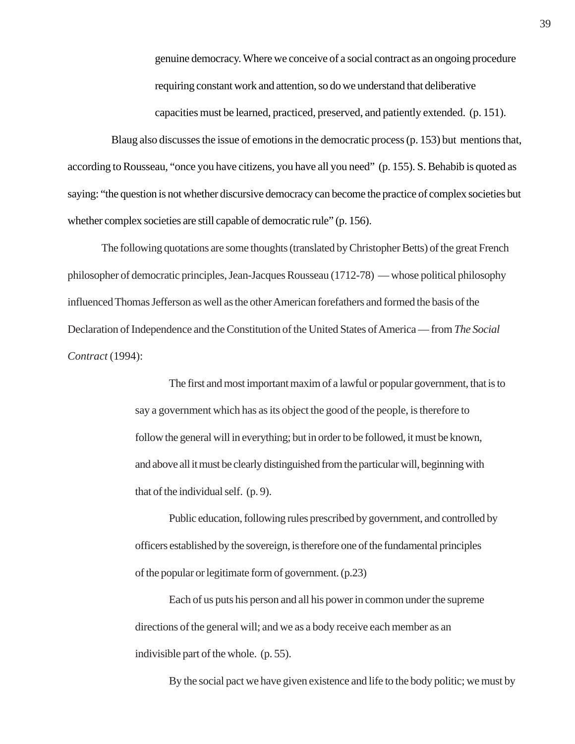genuine democracy. Where we conceive of a social contract as an ongoing procedure requiring constant work and attention, so do we understand that deliberative capacities must be learned, practiced, preserved, and patiently extended. (p. 151).

 Blaug also discusses the issue of emotions in the democratic process (p. 153) but mentions that, according to Rousseau, "once you have citizens, you have all you need" (p. 155). S. Behabib is quoted as saying: "the question is not whether discursive democracy can become the practice of complex societies but whether complex societies are still capable of democratic rule" (p. 156).

The following quotations are some thoughts (translated by Christopher Betts) of the great French philosopher of democratic principles, Jean-Jacques Rousseau (1712-78) — whose political philosophy influenced Thomas Jefferson as well as the other American forefathers and formed the basis of the Declaration of Independence and the Constitution of the United States of America — from *The Social Contract* (1994):

> The first and most important maxim of a lawful or popular government, that is to say a government which has as its object the good of the people, is therefore to follow the general will in everything; but in order to be followed, it must be known, and above all it must be clearly distinguished from the particular will, beginning with that of the individual self. (p. 9).

Public education, following rules prescribed by government, and controlled by officers established by the sovereign, is therefore one of the fundamental principles of the popular or legitimate form of government. (p.23)

Each of us puts his person and all his power in common under the supreme directions of the general will; and we as a body receive each member as an indivisible part of the whole. (p. 55).

By the social pact we have given existence and life to the body politic; we must by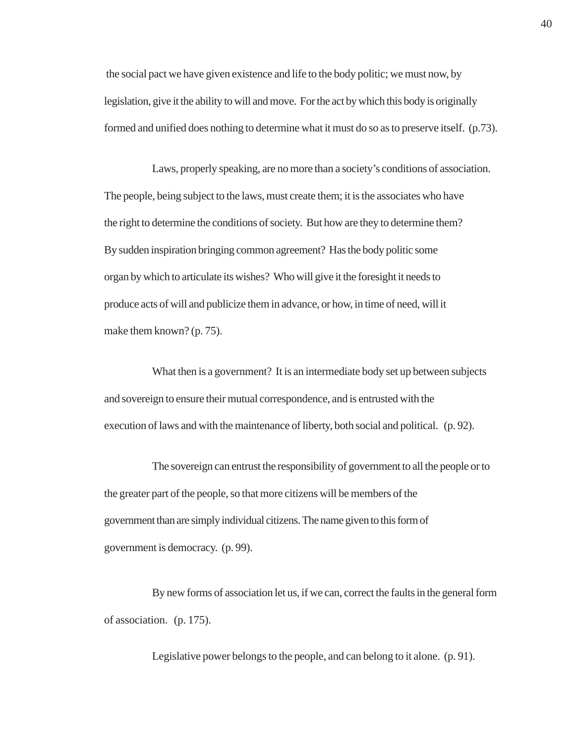the social pact we have given existence and life to the body politic; we must now, by legislation, give it the ability to will and move. For the act by which this body is originally formed and unified does nothing to determine what it must do so as to preserve itself. (p.73).

Laws, properly speaking, are no more than a society's conditions of association. The people, being subject to the laws, must create them; it is the associates who have the right to determine the conditions of society. But how are they to determine them? By sudden inspiration bringing common agreement? Has the body politic some organ by which to articulate its wishes? Who will give it the foresight it needs to produce acts of will and publicize them in advance, or how, in time of need, will it make them known? (p. 75).

What then is a government? It is an intermediate body set up between subjects and sovereign to ensure their mutual correspondence, and is entrusted with the execution of laws and with the maintenance of liberty, both social and political. (p. 92).

The sovereign can entrust the responsibility of government to all the people or to the greater part of the people, so that more citizens will be members of the government than are simply individual citizens. The name given to this form of government is democracy. (p. 99).

By new forms of association let us, if we can, correct the faults in the general form of association. (p. 175).

Legislative power belongs to the people, and can belong to it alone. (p. 91).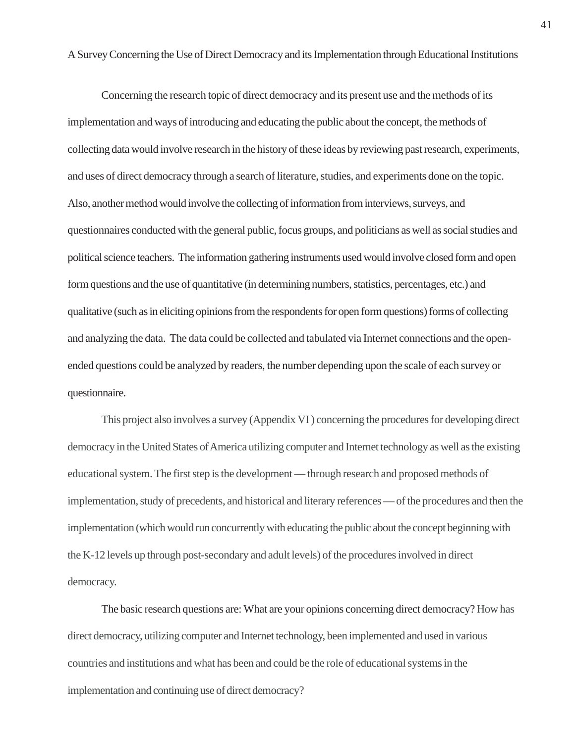A Survey Concerning the Use of Direct Democracy and its Implementation through Educational Institutions

Concerning the research topic of direct democracy and its present use and the methods of its implementation and ways of introducing and educating the public about the concept, the methods of collecting data would involve research in the history of these ideas by reviewing past research, experiments, and uses of direct democracy through a search of literature, studies, and experiments done on the topic. Also, another method would involve the collecting of information from interviews, surveys, and questionnaires conducted with the general public, focus groups, and politicians as well as social studies and political science teachers. The information gathering instruments used would involve closed form and open form questions and the use of quantitative (in determining numbers, statistics, percentages, etc.) and qualitative (such as in eliciting opinions from the respondents for open form questions) forms of collecting and analyzing the data. The data could be collected and tabulated via Internet connections and the openended questions could be analyzed by readers, the number depending upon the scale of each survey or questionnaire.

This project also involves a survey (Appendix VI ) concerning the procedures for developing direct democracy in the United States of America utilizing computer and Internet technology as well as the existing educational system. The first step is the development — through research and proposed methods of implementation, study of precedents, and historical and literary references — of the procedures and then the implementation (which would run concurrently with educating the public about the concept beginning with the K-12 levels up through post-secondary and adult levels) of the procedures involved in direct democracy.

The basic research questions are: What are your opinions concerning direct democracy? How has direct democracy, utilizing computer and Internet technology, been implemented and used in various countries and institutions and what has been and could be the role of educational systems in the implementation and continuing use of direct democracy?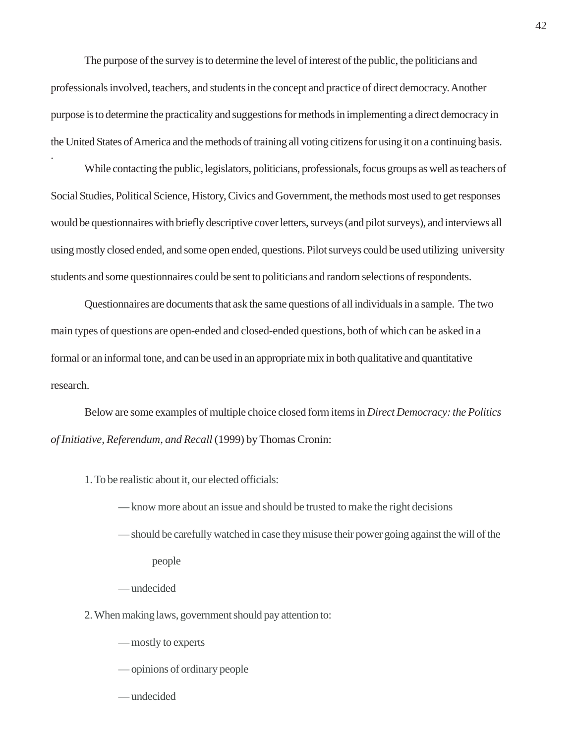The purpose of the survey is to determine the level of interest of the public, the politicians and professionals involved, teachers, and students in the concept and practice of direct democracy. Another purpose is to determine the practicality and suggestions for methods in implementing a direct democracy in the United States of America and the methods of training all voting citizens for using it on a continuing basis.

While contacting the public, legislators, politicians, professionals, focus groups as well as teachers of Social Studies, Political Science, History, Civics and Government, the methods most used to get responses would be questionnaires with briefly descriptive cover letters, surveys (and pilot surveys), and interviews all using mostly closed ended, and some open ended, questions. Pilot surveys could be used utilizing university students and some questionnaires could be sent to politicians and random selections of respondents.

Questionnaires are documents that ask the same questions of all individuals in a sample. The two main types of questions are open-ended and closed-ended questions, both of which can be asked in a formal or an informal tone, and can be used in an appropriate mix in both qualitative and quantitative research.

Below are some examples of multiple choice closed form items in *Direct Democracy: the Politics of Initiative, Referendum, and Recall* (1999) by Thomas Cronin:

1. To be realistic about it, our elected officials:

— know more about an issue and should be trusted to make the right decisions

- should be carefully watched in case they misuse their power going against the will of the people
- undecided

.

2. When making laws, government should pay attention to:

— mostly to experts

— opinions of ordinary people

— undecided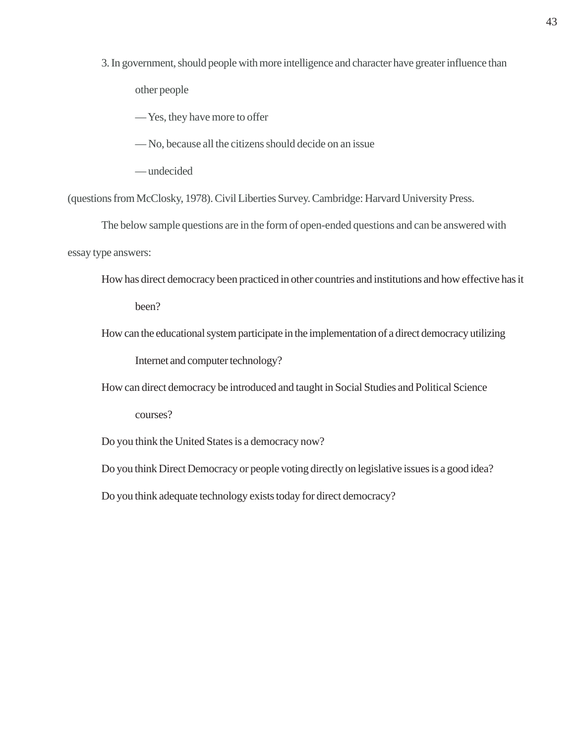3. In government, should people with more intelligence and character have greater influence than other people

— Yes, they have more to offer

— No, because all the citizens should decide on an issue

— undecided

(questions from McClosky, 1978). Civil Liberties Survey. Cambridge: Harvard University Press.

The below sample questions are in the form of open-ended questions and can be answered with essay type answers:

How has direct democracy been practiced in other countries and institutions and how effective has it

been?

How can the educational system participate in the implementation of a direct democracy utilizing

Internet and computer technology?

How can direct democracy be introduced and taught in Social Studies and Political Science

courses?

Do you think the United States is a democracy now?

Do you think Direct Democracy or people voting directly on legislative issues is a good idea?

Do you think adequate technology exists today for direct democracy?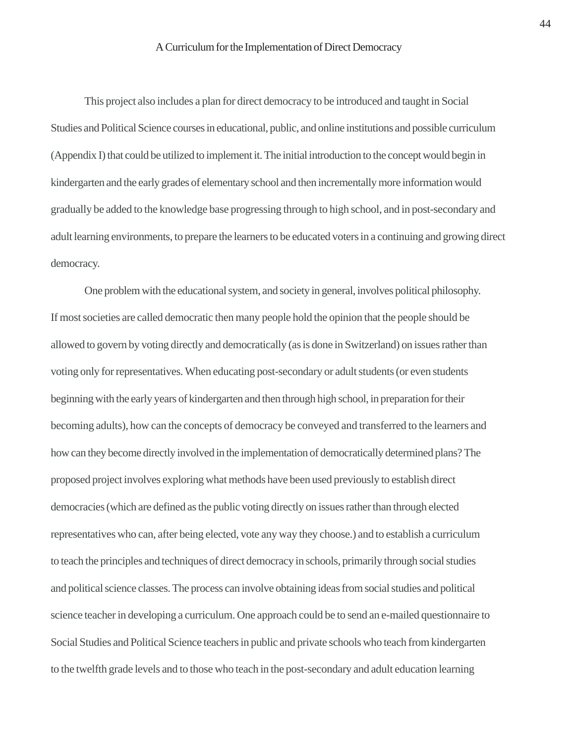This project also includes a plan for direct democracy to be introduced and taught in Social Studies and Political Science courses in educational, public, and online institutions and possible curriculum (Appendix I) that could be utilized to implement it. The initial introduction to the concept would begin in kindergarten and the early grades of elementary school and then incrementally more information would gradually be added to the knowledge base progressing through to high school, and in post-secondary and adult learning environments, to prepare the learners to be educated voters in a continuing and growing direct democracy.

One problem with the educational system, and society in general, involves political philosophy. If most societies are called democratic then many people hold the opinion that the people should be allowed to govern by voting directly and democratically (as is done in Switzerland) on issues rather than voting only for representatives. When educating post-secondary or adult students (or even students beginning with the early years of kindergarten and then through high school, in preparation for their becoming adults), how can the concepts of democracy be conveyed and transferred to the learners and how can they become directly involved in the implementation of democratically determined plans? The proposed project involves exploring what methods have been used previously to establish direct democracies (which are defined as the public voting directly on issues rather than through elected representatives who can, after being elected, vote any way they choose.) and to establish a curriculum to teach the principles and techniques of direct democracy in schools, primarily through social studies and political science classes. The process can involve obtaining ideas from social studies and political science teacher in developing a curriculum. One approach could be to send an e-mailed questionnaire to Social Studies and Political Science teachers in public and private schools who teach from kindergarten to the twelfth grade levels and to those who teach in the post-secondary and adult education learning

44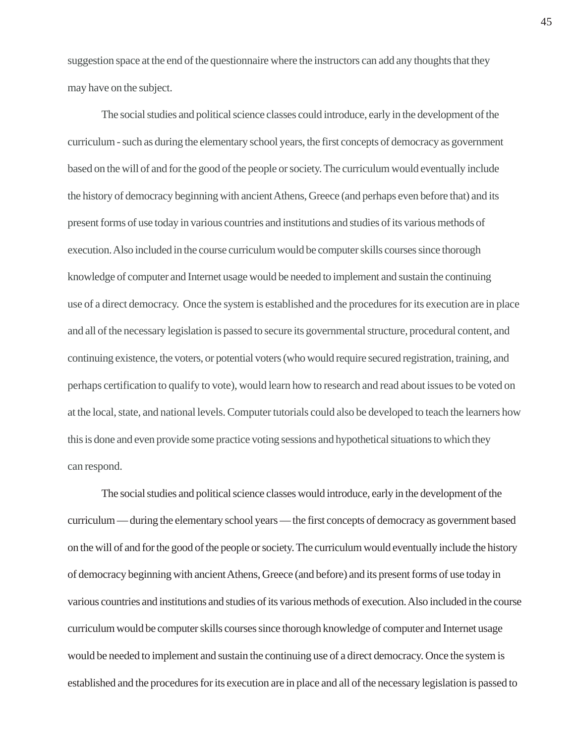suggestion space at the end of the questionnaire where the instructors can add any thoughts that they may have on the subject.

The social studies and political science classes could introduce, early in the development of the curriculum - such as during the elementary school years, the first concepts of democracy as government based on the will of and for the good of the people or society. The curriculum would eventually include the history of democracy beginning with ancient Athens, Greece (and perhaps even before that) and its present forms of use today in various countries and institutions and studies of its various methods of execution. Also included in the course curriculum would be computer skills courses since thorough knowledge of computer and Internet usage would be needed to implement and sustain the continuing use of a direct democracy. Once the system is established and the procedures for its execution are in place and all of the necessary legislation is passed to secure its governmental structure, procedural content, and continuing existence, the voters, or potential voters (who would require secured registration, training, and perhaps certification to qualify to vote), would learn how to research and read about issues to be voted on at the local, state, and national levels. Computer tutorials could also be developed to teach the learners how this is done and even provide some practice voting sessions and hypothetical situations to which they can respond.

The social studies and political science classes would introduce, early in the development of the curriculum — during the elementary school years — the first concepts of democracy as government based on the will of and for the good of the people or society. The curriculum would eventually include the history of democracy beginning with ancient Athens, Greece (and before) and its present forms of use today in various countries and institutions and studies of its various methods of execution. Also included in the course curriculum would be computer skills courses since thorough knowledge of computer and Internet usage would be needed to implement and sustain the continuing use of a direct democracy. Once the system is established and the procedures for its execution are in place and all of the necessary legislation is passed to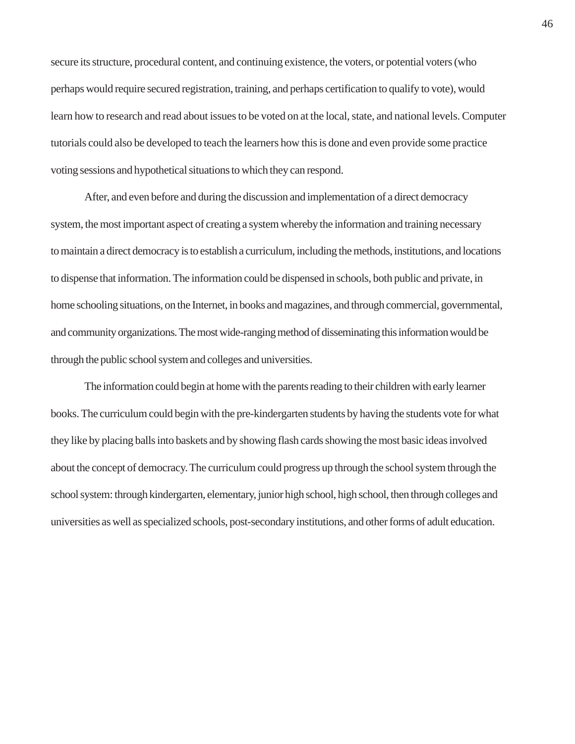secure its structure, procedural content, and continuing existence, the voters, or potential voters (who perhaps would require secured registration, training, and perhaps certification to qualify to vote), would learn how to research and read about issues to be voted on at the local, state, and national levels. Computer tutorials could also be developed to teach the learners how this is done and even provide some practice voting sessions and hypothetical situations to which they can respond.

After, and even before and during the discussion and implementation of a direct democracy system, the most important aspect of creating a system whereby the information and training necessary to maintain a direct democracy is to establish a curriculum, including the methods, institutions, and locations to dispense that information. The information could be dispensed in schools, both public and private, in home schooling situations, on the Internet, in books and magazines, and through commercial, governmental, and community organizations. The most wide-ranging method of disseminating this information would be through the public school system and colleges and universities.

The information could begin at home with the parents reading to their children with early learner books. The curriculum could begin with the pre-kindergarten students by having the students vote for what they like by placing balls into baskets and by showing flash cards showing the most basic ideas involved about the concept of democracy. The curriculum could progress up through the school system through the school system: through kindergarten, elementary, junior high school, high school, then through colleges and universities as well as specialized schools, post-secondary institutions, and other forms of adult education.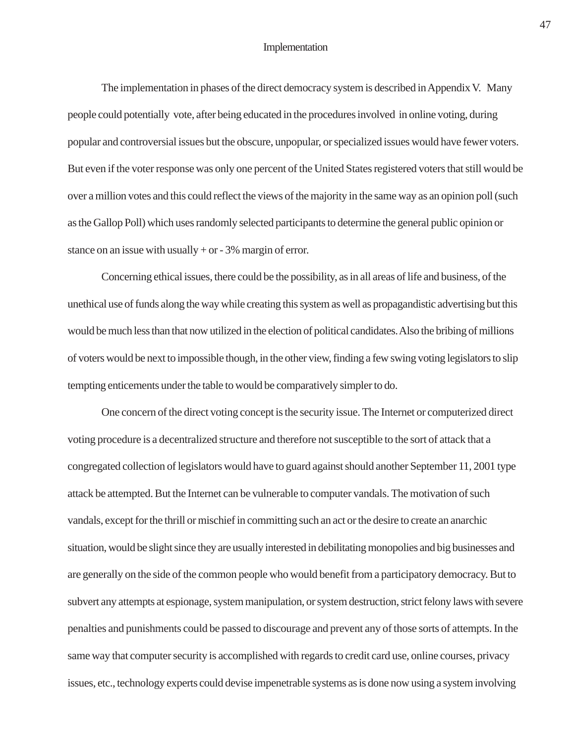### Implementation

The implementation in phases of the direct democracy system is described in Appendix V. Many people could potentially vote, after being educated in the procedures involved in online voting, during popular and controversial issues but the obscure, unpopular, or specialized issues would have fewer voters. But even if the voter response was only one percent of the United States registered voters that still would be over a million votes and this could reflect the views of the majority in the same way as an opinion poll (such as the Gallop Poll) which uses randomly selected participants to determine the general public opinion or stance on an issue with usually  $+$  or  $-3\%$  margin of error.

Concerning ethical issues, there could be the possibility, as in all areas of life and business, of the unethical use of funds along the way while creating this system as well as propagandistic advertising but this would be much less than that now utilized in the election of political candidates. Also the bribing of millions of voters would be next to impossible though, in the other view, finding a few swing voting legislators to slip tempting enticements under the table to would be comparatively simpler to do.

One concern of the direct voting concept is the security issue. The Internet or computerized direct voting procedure is a decentralized structure and therefore not susceptible to the sort of attack that a congregated collection of legislators would have to guard against should another September 11, 2001 type attack be attempted. But the Internet can be vulnerable to computer vandals. The motivation of such vandals, except for the thrill or mischief in committing such an act or the desire to create an anarchic situation, would be slight since they are usually interested in debilitating monopolies and big businesses and are generally on the side of the common people who would benefit from a participatory democracy. But to subvert any attempts at espionage, system manipulation, or system destruction, strict felony laws with severe penalties and punishments could be passed to discourage and prevent any of those sorts of attempts. In the same way that computer security is accomplished with regards to credit card use, online courses, privacy issues, etc., technology experts could devise impenetrable systems as is done now using a system involving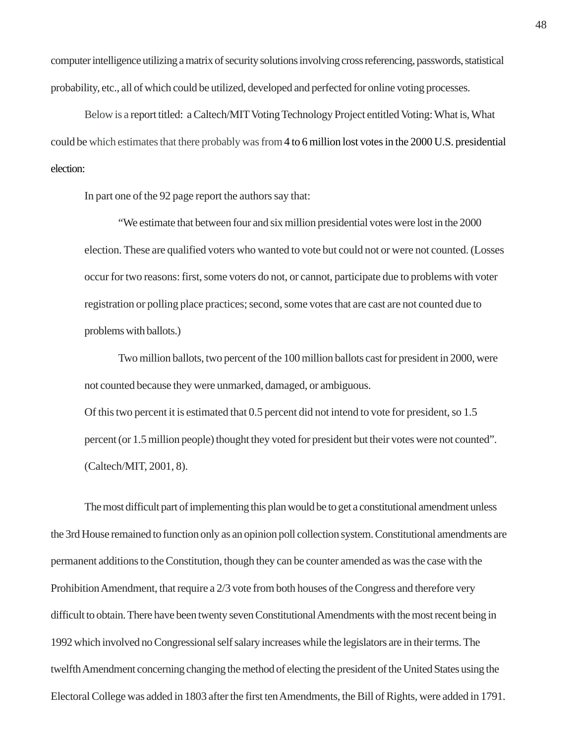computer intelligence utilizing a matrix of security solutions involving cross referencing, passwords, statistical probability, etc., all of which could be utilized, developed and perfected for online voting processes.

Below is a report titled: a Caltech/MIT Voting Technology Project entitled Voting: What is, What could be which estimates that there probably was from 4 to 6 million lost votes in the 2000 U.S. presidential election:

In part one of the 92 page report the authors say that:

"We estimate that between four and six million presidential votes were lost in the 2000 election. These are qualified voters who wanted to vote but could not or were not counted. (Losses occur for two reasons: first, some voters do not, or cannot, participate due to problems with voter registration or polling place practices; second, some votes that are cast are not counted due to problems with ballots.)

Two million ballots, two percent of the 100 million ballots cast for president in 2000, were not counted because they were unmarked, damaged, or ambiguous. Of this two percent it is estimated that 0.5 percent did not intend to vote for president, so 1.5 percent (or 1.5 million people) thought they voted for president but their votes were not counted". (Caltech/MIT, 2001, 8).

The most difficult part of implementing this plan would be to get a constitutional amendment unless the 3rd House remained to function only as an opinion poll collection system. Constitutional amendments are permanent additions to the Constitution, though they can be counter amended as was the case with the Prohibition Amendment, that require a 2/3 vote from both houses of the Congress and therefore very difficult to obtain. There have been twenty seven Constitutional Amendments with the most recent being in 1992 which involved no Congressional self salary increases while the legislators are in their terms. The twelfth Amendment concerning changing the method of electing the president of the United States using the Electoral College was added in 1803 after the first ten Amendments, the Bill of Rights, were added in 1791.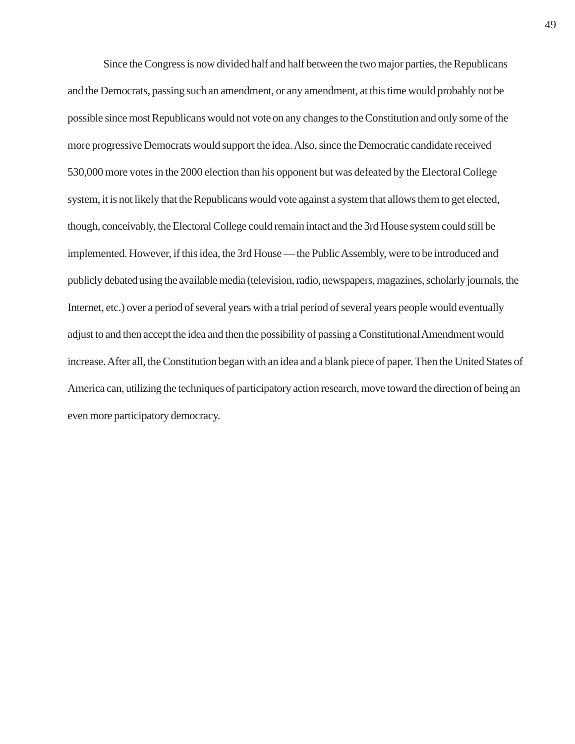Since the Congress is now divided half and half between the two major parties, the Republicans and the Democrats, passing such an amendment, or any amendment, at this time would probably not be possible since most Republicans would not vote on any changes to the Constitution and only some of the more progressive Democrats would support the idea. Also, since the Democratic candidate received 530,000 more votes in the 2000 election than his opponent but was defeated by the Electoral College system, it is not likely that the Republicans would vote against a system that allows them to get elected, though, conceivably, the Electoral College could remain intact and the 3rd House system could still be implemented. However, if this idea, the 3rd House — the Public Assembly, were to be introduced and publicly debated using the available media (television, radio, newspapers, magazines, scholarly journals, the Internet, etc.) over a period of several years with a trial period of several years people would eventually adjust to and then accept the idea and then the possibility of passing a Constitutional Amendment would increase. After all, the Constitution began with an idea and a blank piece of paper. Then the United States of America can, utilizing the techniques of participatory action research, move toward the direction of being an even more participatory democracy.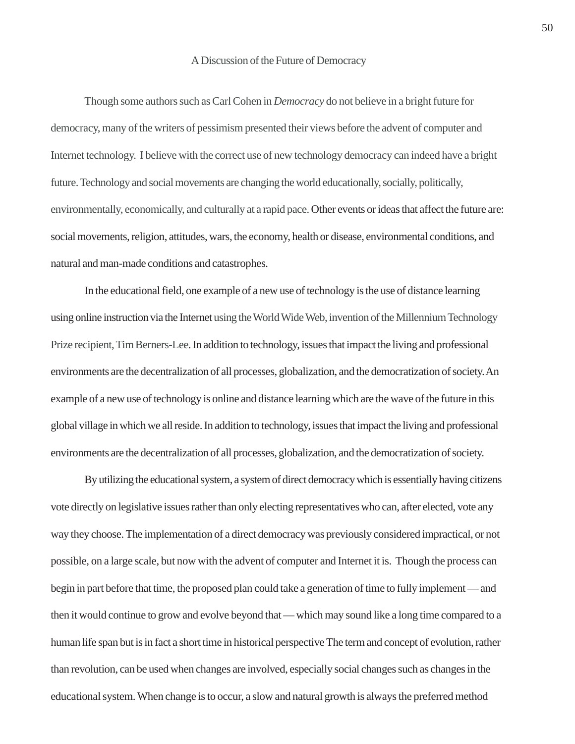#### A Discussion of the Future of Democracy

Though some authors such as Carl Cohen in *Democracy* do not believe in a bright future for democracy, many of the writers of pessimism presented their views before the advent of computer and Internet technology. I believe with the correct use of new technology democracy can indeed have a bright future. Technology and social movements are changing the world educationally, socially, politically, environmentally, economically, and culturally at a rapid pace. Other events or ideas that affect the future are: social movements, religion, attitudes, wars, the economy, health or disease, environmental conditions, and natural and man-made conditions and catastrophes.

In the educational field, one example of a new use of technology is the use of distance learning using online instruction via the Internet using the World Wide Web, invention of the Millennium Technology Prize recipient, Tim Berners-Lee. In addition to technology, issues that impact the living and professional environments are the decentralization of all processes, globalization, and the democratization of society. An example of a new use of technology is online and distance learning which are the wave of the future in this global village in which we all reside. In addition to technology, issues that impact the living and professional environments are the decentralization of all processes, globalization, and the democratization of society.

By utilizing the educational system, a system of direct democracy which is essentially having citizens vote directly on legislative issues rather than only electing representatives who can, after elected, vote any way they choose. The implementation of a direct democracy was previously considered impractical, or not possible, on a large scale, but now with the advent of computer and Internet it is. Though the process can begin in part before that time, the proposed plan could take a generation of time to fully implement — and then it would continue to grow and evolve beyond that — which may sound like a long time compared to a human life span but is in fact a short time in historical perspective The term and concept of evolution, rather than revolution, can be used when changes are involved, especially social changes such as changes in the educational system. When change is to occur, a slow and natural growth is always the preferred method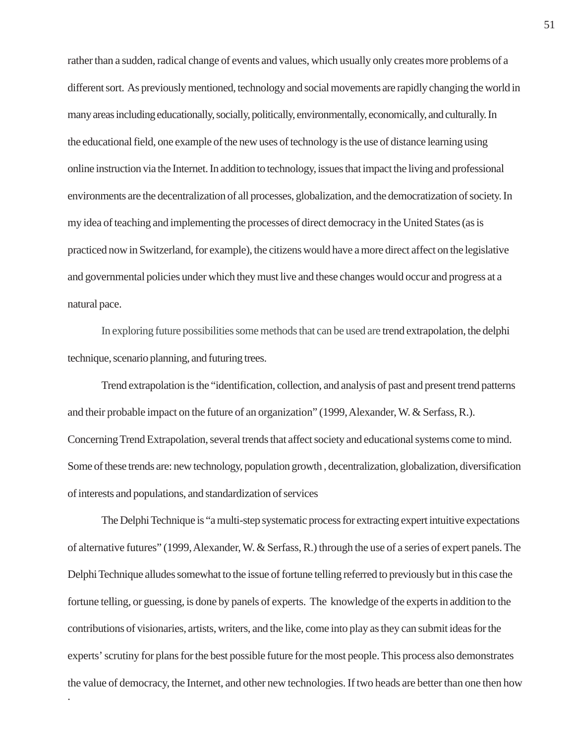rather than a sudden, radical change of events and values, which usually only creates more problems of a different sort. As previously mentioned, technology and social movements are rapidly changing the world in many areas including educationally, socially, politically, environmentally, economically, and culturally. In the educational field, one example of the new uses of technology is the use of distance learning using online instruction via the Internet. In addition to technology, issues that impact the living and professional environments are the decentralization of all processes, globalization, and the democratization of society. In my idea of teaching and implementing the processes of direct democracy in the United States (as is practiced now in Switzerland, for example), the citizens would have a more direct affect on the legislative and governmental policies under which they must live and these changes would occur and progress at a natural pace.

In exploring future possibilities some methods that can be used are trend extrapolation, the delphi technique, scenario planning, and futuring trees.

Trend extrapolation is the "identification, collection, and analysis of past and present trend patterns and their probable impact on the future of an organization" (1999, Alexander, W. & Serfass, R.). Concerning Trend Extrapolation, several trends that affect society and educational systems come to mind. Some of these trends are: new technology, population growth , decentralization, globalization, diversification of interests and populations, and standardization of services

The Delphi Technique is "a multi-step systematic process for extracting expert intuitive expectations of alternative futures" (1999, Alexander, W. & Serfass, R.) through the use of a series of expert panels. The Delphi Technique alludes somewhat to the issue of fortune telling referred to previously but in this case the fortune telling, or guessing, is done by panels of experts. The knowledge of the experts in addition to the contributions of visionaries, artists, writers, and the like, come into play as they can submit ideas for the experts' scrutiny for plans for the best possible future for the most people. This process also demonstrates the value of democracy, the Internet, and other new technologies. If two heads are better than one then how

.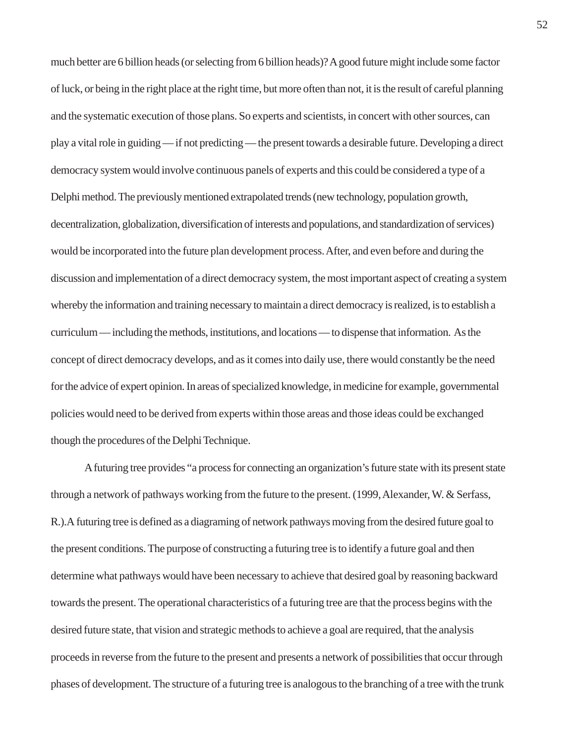much better are 6 billion heads (or selecting from 6 billion heads)? A good future might include some factor of luck, or being in the right place at the right time, but more often than not, it is the result of careful planning and the systematic execution of those plans. So experts and scientists, in concert with other sources, can play a vital role in guiding — if not predicting — the present towards a desirable future. Developing a direct democracy system would involve continuous panels of experts and this could be considered a type of a Delphi method. The previously mentioned extrapolated trends (new technology, population growth, decentralization, globalization, diversification of interests and populations, and standardization of services) would be incorporated into the future plan development process. After, and even before and during the discussion and implementation of a direct democracy system, the most important aspect of creating a system whereby the information and training necessary to maintain a direct democracy is realized, is to establish a curriculum — including the methods, institutions, and locations — to dispense that information. As the concept of direct democracy develops, and as it comes into daily use, there would constantly be the need for the advice of expert opinion. In areas of specialized knowledge, in medicine for example, governmental policies would need to be derived from experts within those areas and those ideas could be exchanged though the procedures of the Delphi Technique.

A futuring tree provides "a process for connecting an organization's future state with its present state through a network of pathways working from the future to the present. (1999, Alexander, W. & Serfass, R.).A futuring tree is defined as a diagraming of network pathways moving from the desired future goal to the present conditions. The purpose of constructing a futuring tree is to identify a future goal and then determine what pathways would have been necessary to achieve that desired goal by reasoning backward towards the present. The operational characteristics of a futuring tree are that the process begins with the desired future state, that vision and strategic methods to achieve a goal are required, that the analysis proceeds in reverse from the future to the present and presents a network of possibilities that occur through phases of development. The structure of a futuring tree is analogous to the branching of a tree with the trunk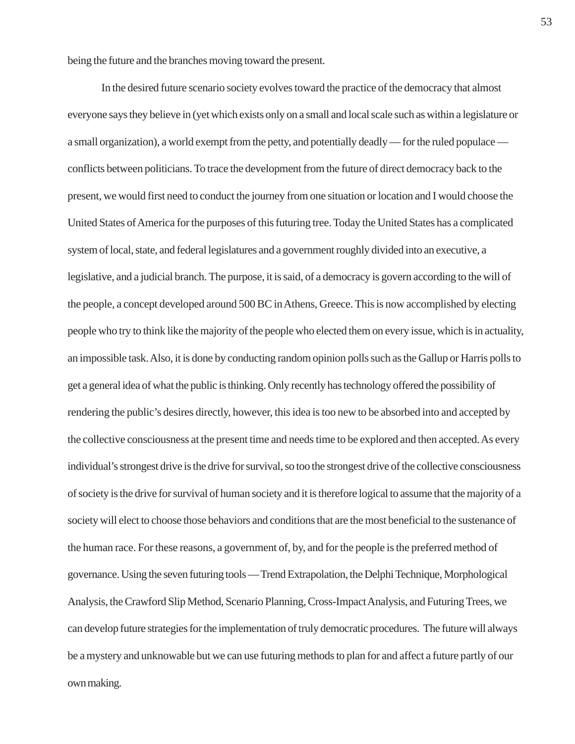being the future and the branches moving toward the present.

In the desired future scenario society evolves toward the practice of the democracy that almost everyone says they believe in (yet which exists only on a small and local scale such as within a legislature or a small organization), a world exempt from the petty, and potentially deadly — for the ruled populace conflicts between politicians. To trace the development from the future of direct democracy back to the present, we would first need to conduct the journey from one situation or location and I would choose the United States of America for the purposes of this futuring tree. Today the United States has a complicated system of local, state, and federal legislatures and a government roughly divided into an executive, a legislative, and a judicial branch. The purpose, it is said, of a democracy is govern according to the will of the people, a concept developed around 500 BC in Athens, Greece. This is now accomplished by electing people who try to think like the majority of the people who elected them on every issue, which is in actuality, an impossible task. Also, it is done by conducting random opinion polls such as the Gallup or Harris polls to get a general idea of what the public is thinking. Only recently has technology offered the possibility of rendering the public's desires directly, however, this idea is too new to be absorbed into and accepted by the collective consciousness at the present time and needs time to be explored and then accepted. As every individual's strongest drive is the drive for survival, so too the strongest drive of the collective consciousness of society is the drive for survival of human society and it is therefore logical to assume that the majority of a society will elect to choose those behaviors and conditions that are the most beneficial to the sustenance of the human race. For these reasons, a government of, by, and for the people is the preferred method of governance. Using the seven futuring tools — Trend Extrapolation, the Delphi Technique, Morphological Analysis, the Crawford Slip Method, Scenario Planning, Cross-Impact Analysis, and Futuring Trees, we can develop future strategies for the implementation of truly democratic procedures. The future will always be a mystery and unknowable but we can use futuring methods to plan for and affect a future partly of our own making.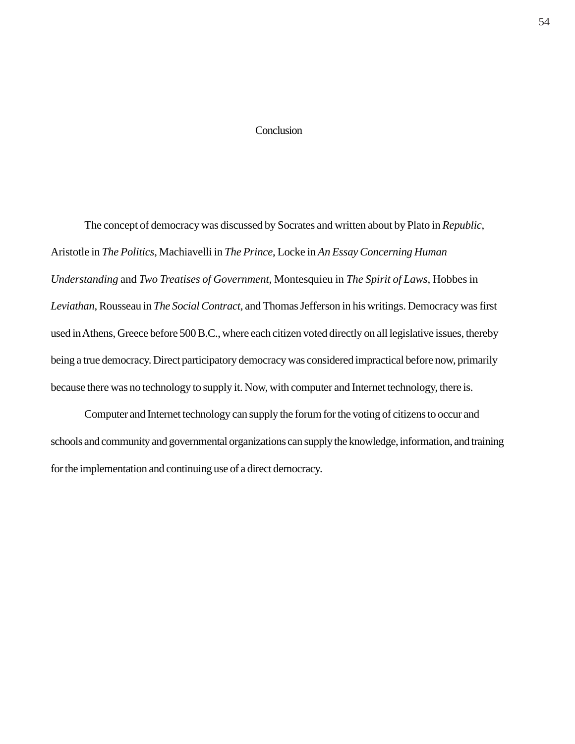# **Conclusion**

The concept of democracy was discussed by Socrates and written about by Plato in *Republic*, Aristotle in *The Politics*, Machiavelli in *The Prince*, Locke in *An Essay Concerning Human Understanding* and *Two Treatises of Government*, Montesquieu in *The Spirit of Laws*, Hobbes in *Leviathan*, Rousseau in *The Social Contract*, and Thomas Jefferson in his writings. Democracy was first used in Athens, Greece before 500 B.C., where each citizen voted directly on all legislative issues, thereby being a true democracy. Direct participatory democracy was considered impractical before now, primarily because there was no technology to supply it. Now, with computer and Internet technology, there is.

Computer and Internet technology can supply the forum for the voting of citizens to occur and schools and community and governmental organizations can supply the knowledge, information, and training for the implementation and continuing use of a direct democracy.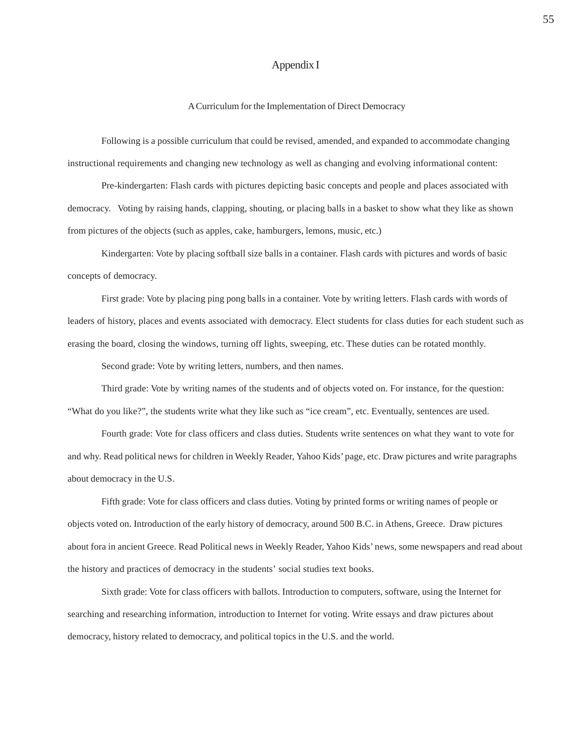### Appendix I

#### A Curriculum for the Implementation of Direct Democracy

Following is a possible curriculum that could be revised, amended, and expanded to accommodate changing instructional requirements and changing new technology as well as changing and evolving informational content:

Pre-kindergarten: Flash cards with pictures depicting basic concepts and people and places associated with democracy. Voting by raising hands, clapping, shouting, or placing balls in a basket to show what they like as shown from pictures of the objects (such as apples, cake, hamburgers, lemons, music, etc.)

Kindergarten: Vote by placing softball size balls in a container. Flash cards with pictures and words of basic concepts of democracy.

First grade: Vote by placing ping pong balls in a container. Vote by writing letters. Flash cards with words of leaders of history, places and events associated with democracy. Elect students for class duties for each student such as erasing the board, closing the windows, turning off lights, sweeping, etc. These duties can be rotated monthly.

Second grade: Vote by writing letters, numbers, and then names.

Third grade: Vote by writing names of the students and of objects voted on. For instance, for the question: "What do you like?", the students write what they like such as "ice cream", etc. Eventually, sentences are used.

Fourth grade: Vote for class officers and class duties. Students write sentences on what they want to vote for and why. Read political news for children in Weekly Reader, Yahoo Kids' page, etc. Draw pictures and write paragraphs about democracy in the U.S.

Fifth grade: Vote for class officers and class duties. Voting by printed forms or writing names of people or objects voted on. Introduction of the early history of democracy, around 500 B.C. in Athens, Greece. Draw pictures about fora in ancient Greece. Read Political news in Weekly Reader, Yahoo Kids' news, some newspapers and read about the history and practices of democracy in the students' social studies text books.

Sixth grade: Vote for class officers with ballots. Introduction to computers, software, using the Internet for searching and researching information, introduction to Internet for voting. Write essays and draw pictures about democracy, history related to democracy, and political topics in the U.S. and the world.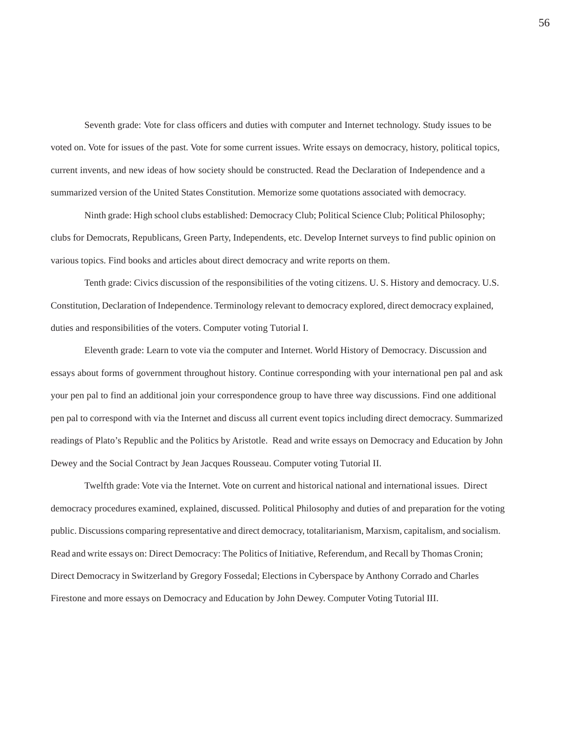Seventh grade: Vote for class officers and duties with computer and Internet technology. Study issues to be voted on. Vote for issues of the past. Vote for some current issues. Write essays on democracy, history, political topics, current invents, and new ideas of how society should be constructed. Read the Declaration of Independence and a summarized version of the United States Constitution. Memorize some quotations associated with democracy.

Ninth grade: High school clubs established: Democracy Club; Political Science Club; Political Philosophy; clubs for Democrats, Republicans, Green Party, Independents, etc. Develop Internet surveys to find public opinion on various topics. Find books and articles about direct democracy and write reports on them.

Tenth grade: Civics discussion of the responsibilities of the voting citizens. U. S. History and democracy. U.S. Constitution, Declaration of Independence. Terminology relevant to democracy explored, direct democracy explained, duties and responsibilities of the voters. Computer voting Tutorial I.

Eleventh grade: Learn to vote via the computer and Internet. World History of Democracy. Discussion and essays about forms of government throughout history. Continue corresponding with your international pen pal and ask your pen pal to find an additional join your correspondence group to have three way discussions. Find one additional pen pal to correspond with via the Internet and discuss all current event topics including direct democracy. Summarized readings of Plato's Republic and the Politics by Aristotle. Read and write essays on Democracy and Education by John Dewey and the Social Contract by Jean Jacques Rousseau. Computer voting Tutorial II.

Twelfth grade: Vote via the Internet. Vote on current and historical national and international issues. Direct democracy procedures examined, explained, discussed. Political Philosophy and duties of and preparation for the voting public. Discussions comparing representative and direct democracy, totalitarianism, Marxism, capitalism, and socialism. Read and write essays on: Direct Democracy: The Politics of Initiative, Referendum, and Recall by Thomas Cronin; Direct Democracy in Switzerland by Gregory Fossedal; Elections in Cyberspace by Anthony Corrado and Charles Firestone and more essays on Democracy and Education by John Dewey. Computer Voting Tutorial III.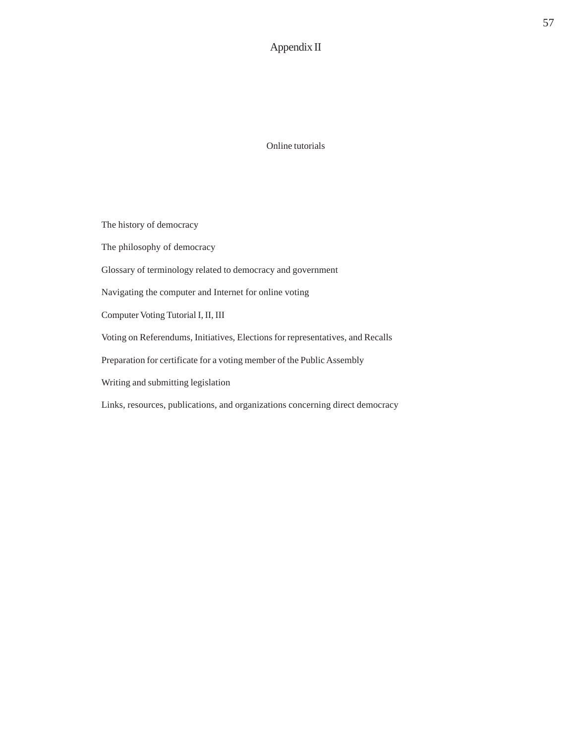# Appendix II

Online tutorials

The history of democracy The philosophy of democracy Glossary of terminology related to democracy and government Navigating the computer and Internet for online voting Computer Voting Tutorial I, II, III Voting on Referendums, Initiatives, Elections for representatives, and Recalls Preparation for certificate for a voting member of the Public Assembly Writing and submitting legislation Links, resources, publications, and organizations concerning direct democracy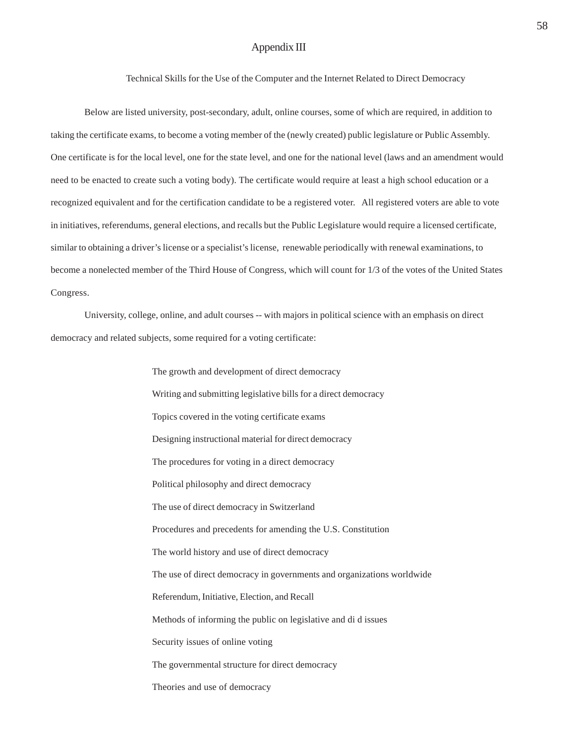# Appendix III

Technical Skills for the Use of the Computer and the Internet Related to Direct Democracy

Below are listed university, post-secondary, adult, online courses, some of which are required, in addition to taking the certificate exams, to become a voting member of the (newly created) public legislature or Public Assembly. One certificate is for the local level, one for the state level, and one for the national level (laws and an amendment would need to be enacted to create such a voting body). The certificate would require at least a high school education or a recognized equivalent and for the certification candidate to be a registered voter. All registered voters are able to vote in initiatives, referendums, general elections, and recalls but the Public Legislature would require a licensed certificate, similar to obtaining a driver's license or a specialist's license, renewable periodically with renewal examinations, to become a nonelected member of the Third House of Congress, which will count for 1/3 of the votes of the United States Congress.

University, college, online, and adult courses -- with majors in political science with an emphasis on direct democracy and related subjects, some required for a voting certificate:

> The growth and development of direct democracy Writing and submitting legislative bills for a direct democracy Topics covered in the voting certificate exams Designing instructional material for direct democracy The procedures for voting in a direct democracy Political philosophy and direct democracy The use of direct democracy in Switzerland Procedures and precedents for amending the U.S. Constitution The world history and use of direct democracy The use of direct democracy in governments and organizations worldwide Referendum, Initiative, Election, and Recall Methods of informing the public on legislative and di d issues Security issues of online voting The governmental structure for direct democracy Theories and use of democracy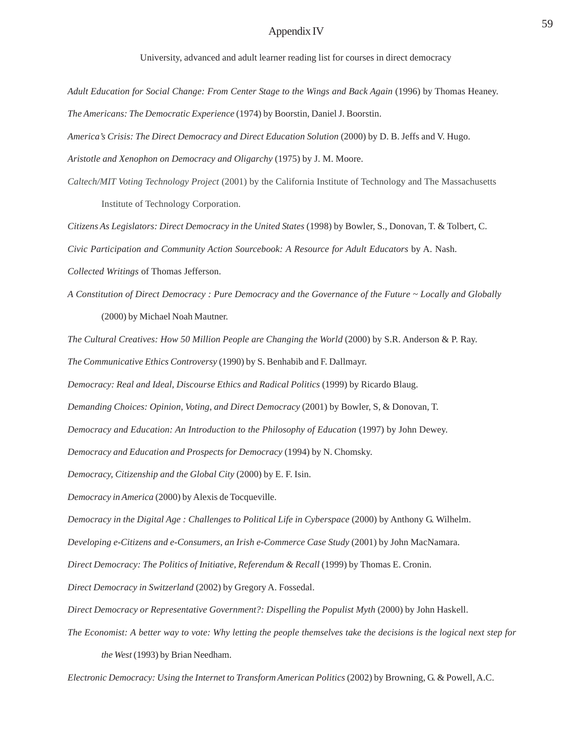# Appendix IV 59

University, advanced and adult learner reading list for courses in direct democracy

Adult Education for Social Change: From Center Stage to the Wings and Back Again (1996) by Thomas Heaney.

*The Americans: The Democratic Experience* (1974) by Boorstin, Daniel J. Boorstin.

*America's Crisis: The Direct Democracy and Direct Education Solution* (2000) by D. B. Jeffs and V. Hugo.

*Aristotle and Xenophon on Democracy and Oligarchy* (1975) by J. M. Moore.

*Caltech/MIT Voting Technology Project* (2001) by the California Institute of Technology and The Massachusetts Institute of Technology Corporation.

*Citizens As Legislators: Direct Democracy in the United States* (1998) by Bowler, S., Donovan, T. & Tolbert, C. *Civic Participation and Community Action Sourcebook: A Resource for Adult Educators* by A. Nash.

*Collected Writings* of Thomas Jefferson.

*A Constitution of Direct Democracy : Pure Democracy and the Governance of the Future ~ Locally and Globally* (2000) by Michael Noah Mautner.

*The Cultural Creatives: How 50 Million People are Changing the World* (2000) by S.R. Anderson & P. Ray.

*The Communicative Ethics Controversy* (1990) by S. Benhabib and F. Dallmayr.

*Democracy: Real and Ideal, Discourse Ethics and Radical Politics* (1999) by Ricardo Blaug.

*Demanding Choices: Opinion, Voting, and Direct Democracy* (2001) by Bowler, S, & Donovan, T.

*Democracy and Education: An Introduction to the Philosophy of Education* (1997) by John Dewey.

*Democracy and Education and Prospects for Democracy* (1994) by N. Chomsky.

*Democracy, Citizenship and the Global City* (2000) by E. F. Isin.

*Democracy in America* (2000) by Alexis de Tocqueville.

*Democracy in the Digital Age : Challenges to Political Life in Cyberspace* (2000) by Anthony G. Wilhelm.

*Developing e-Citizens and e-Consumers, an Irish e-Commerce Case Study* (2001) by John MacNamara.

*Direct Democracy: The Politics of Initiative, Referendum & Recall (1999) by Thomas E. Cronin.* 

*Direct Democracy in Switzerland* (2002) by Gregory A. Fossedal.

*Direct Democracy or Representative Government?: Dispelling the Populist Myth* (2000) by John Haskell.

*The Economist: A better way to vote: Why letting the people themselves take the decisions is the logical next step for the West* (1993) by Brian Needham.

*Electronic Democracy: Using the Internet to Transform American Politics* (2002) by Browning, G. & Powell, A.C.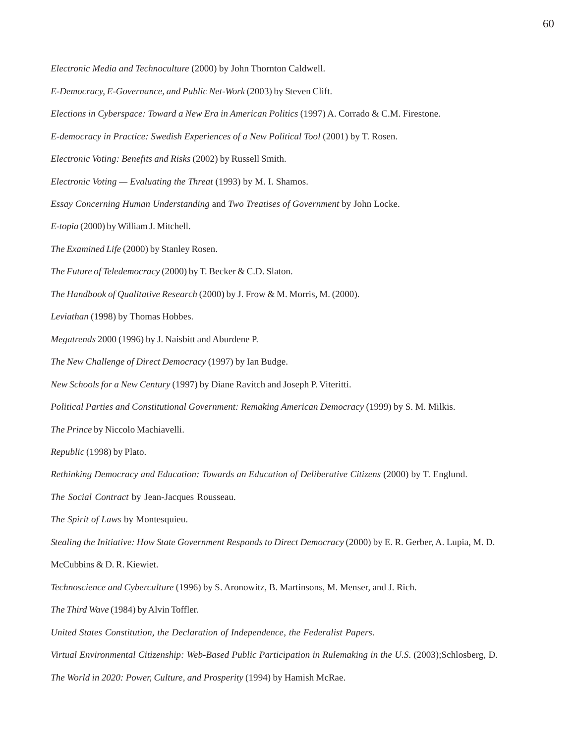*Electronic Media and Technoculture* (2000) by John Thornton Caldwell.

*E-Democracy, E-Governance, and Public Net-Work* (2003) by Steven Clift.

*Elections in Cyberspace: Toward a New Era in American Politics* (1997) A. Corrado & C.M. Firestone.

*E-democracy in Practice: Swedish Experiences of a New Political Tool* (2001) by T. Rosen.

*Electronic Voting: Benefits and Risks* (2002) by Russell Smith.

*Electronic Voting — Evaluating the Threat* (1993) by M. I. Shamos.

*Essay Concerning Human Understanding* and *Two Treatises of Government* by John Locke.

*E-topia* (2000) by William J. Mitchell.

*The Examined Life* (2000) by Stanley Rosen.

*The Future of Teledemocracy* (2000) by T. Becker & C.D. Slaton.

*The Handbook of Qualitative Research* (2000) by J. Frow & M. Morris, M. (2000).

*Leviathan* (1998) by Thomas Hobbes.

*Megatrends* 2000 (1996) by J. Naisbitt and Aburdene P.

*The New Challenge of Direct Democracy* (1997) by Ian Budge.

*New Schools for a New Century* (1997) by Diane Ravitch and Joseph P. Viteritti.

*Political Parties and Constitutional Government: Remaking American Democracy* (1999) by S. M. Milkis.

*The Prince* by Niccolo Machiavelli.

*Republic* (1998) by Plato.

*Rethinking Democracy and Education: Towards an Education of Deliberative Citizens* (2000) by T. Englund.

*The Social Contract* by Jean-Jacques Rousseau.

*The Spirit of Laws* by Montesquieu.

*Stealing the Initiative: How State Government Responds to Direct Democracy* (2000) by E. R. Gerber, A. Lupia, M. D.

McCubbins & D. R. Kiewiet.

*Technoscience and Cyberculture* (1996) by S. Aronowitz, B. Martinsons, M. Menser, and J. Rich.

*The Third Wave* (1984) by Alvin Toffler.

*United States Constitution, the Declaration of Independence, the Federalist Papers*.

*Virtual Environmental Citizenship: Web-Based Public Participation in Rulemaking in the U.S*. (2003);Schlosberg, D.

*The World in 2020: Power, Culture, and Prosperity* (1994) by Hamish McRae.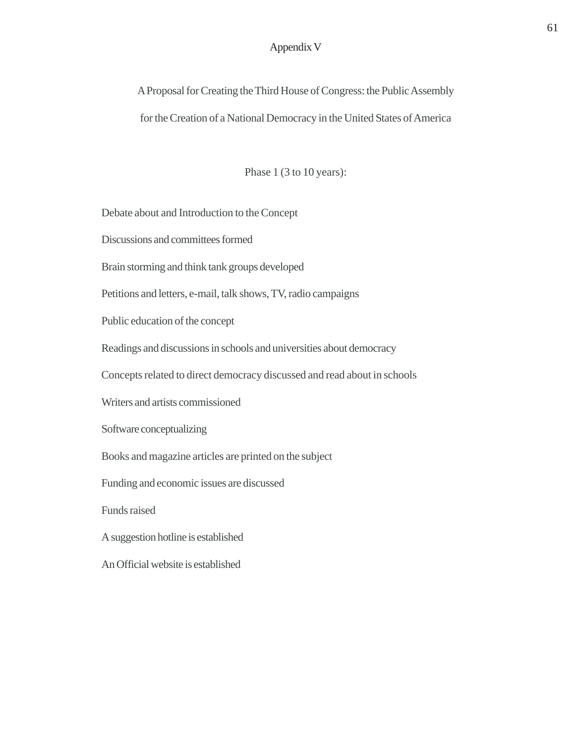# Appendix V

A Proposal for Creating the Third House of Congress: the Public Assembly for the Creation of a National Democracy in the United States of America

Phase 1 (3 to 10 years):

Debate about and Introduction to the Concept

Discussions and committees formed

Brain storming and think tank groups developed

Petitions and letters, e-mail, talk shows, TV, radio campaigns

Public education of the concept

Readings and discussions in schools and universities about democracy

Concepts related to direct democracy discussed and read about in schools

Writers and artists commissioned

Software conceptualizing

Books and magazine articles are printed on the subject

Funding and economic issues are discussed

Funds raised

A suggestion hotline is established

An Official website is established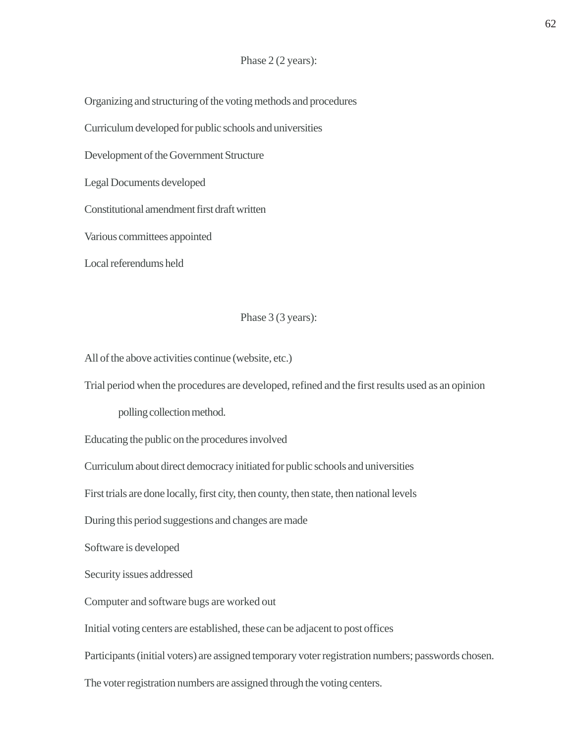### Phase 2 (2 years):

Organizing and structuring of the voting methods and procedures

Curriculum developed for public schools and universities

Development of the Government Structure

Legal Documents developed

Constitutional amendment first draft written

Various committees appointed

Local referendums held

# Phase 3 (3 years):

All of the above activities continue (website, etc.)

Trial period when the procedures are developed, refined and the first results used as an opinion

polling collection method.

Educating the public on the procedures involved

Curriculum about direct democracy initiated for public schools and universities

First trials are done locally, first city, then county, then state, then national levels

During this period suggestions and changes are made

Software is developed

Security issues addressed

Computer and software bugs are worked out

Initial voting centers are established, these can be adjacent to post offices

Participants (initial voters) are assigned temporary voter registration numbers; passwords chosen.

The voter registration numbers are assigned through the voting centers.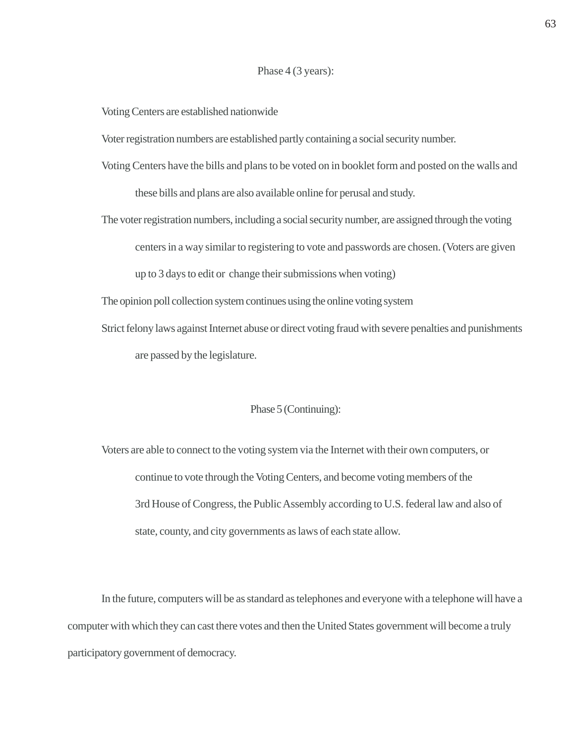#### Phase 4 (3 years):

Voting Centers are established nationwide

Voter registration numbers are established partly containing a social security number.

- Voting Centers have the bills and plans to be voted on in booklet form and posted on the walls and these bills and plans are also available online for perusal and study.
- The voter registration numbers, including a social security number, are assigned through the voting centers in a way similar to registering to vote and passwords are chosen. (Voters are given up to 3 days to edit or change their submissions when voting)
- The opinion poll collection system continues using the online voting system
- Strict felony laws against Internet abuse or direct voting fraud with severe penalties and punishments are passed by the legislature.

#### Phase 5 (Continuing):

Voters are able to connect to the voting system via the Internet with their own computers, or continue to vote through the Voting Centers, and become voting members of the 3rd House of Congress, the Public Assembly according to U.S. federal law and also of state, county, and city governments as laws of each state allow.

In the future, computers will be as standard as telephones and everyone with a telephone will have a computer with which they can cast there votes and then the United States government will become a truly participatory government of democracy.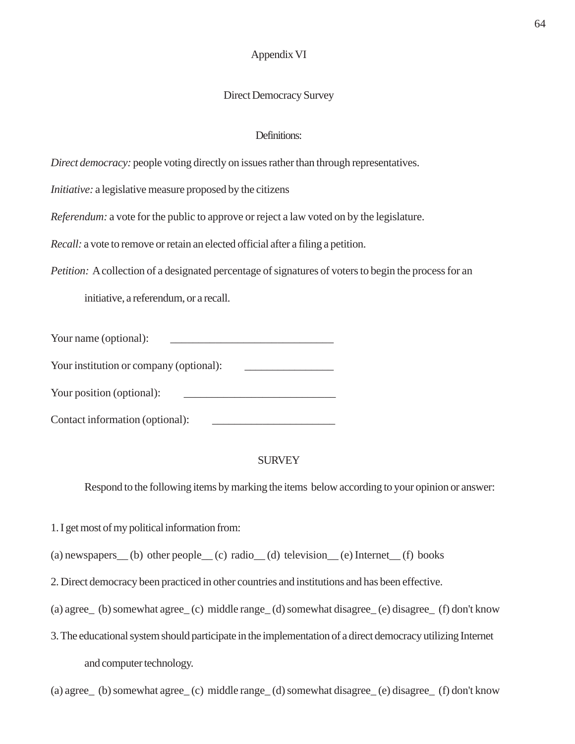# Appendix VI

# Direct Democracy Survey

# Definitions:

*Direct democracy:* people voting directly on issues rather than through representatives.

*Initiative:* a legislative measure proposed by the citizens

*Referendum:* a vote for the public to approve or reject a law voted on by the legislature.

*Recall:* a vote to remove or retain an elected official after a filing a petition.

*Petition:* A collection of a designated percentage of signatures of voters to begin the process for an

initiative, a referendum, or a recall.

| Your name (optional): |  |
|-----------------------|--|
|                       |  |

Your institution or company (optional):

Your position (optional):

Contact information (optional):

# **SURVEY**

Respond to the following items by marking the items below according to your opinion or answer:

1. I get most of my political information from:

(a) newspapers (b) other people (c) radio (d) television (e) Internet (f) books

2. Direct democracy been practiced in other countries and institutions and has been effective.

- (a) agree\_ (b) somewhat agree\_ (c) middle range\_ (d) somewhat disagree\_ (e) disagree\_ (f) don't know
- 3. The educational system should participate in the implementation of a direct democracy utilizing Internet and computer technology.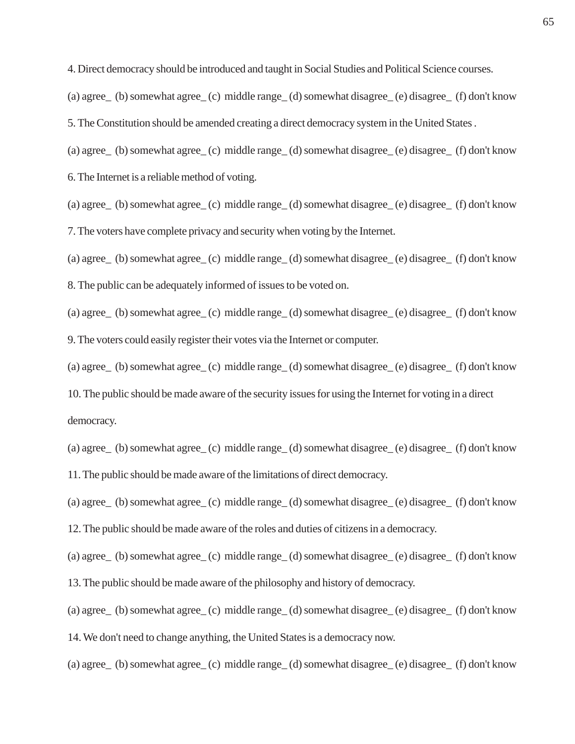4. Direct democracy should be introduced and taught in Social Studies and Political Science courses.

(a) agree\_ (b) somewhat agree\_ (c) middle range\_ (d) somewhat disagree\_ (e) disagree\_ (f) don't know

5. The Constitution should be amended creating a direct democracy system in the United States .

(a) agree\_ (b) somewhat agree\_ (c) middle range\_ (d) somewhat disagree\_ (e) disagree\_ (f) don't know

6. The Internet is a reliable method of voting.

(a) agree\_ (b) somewhat agree\_ (c) middle range\_ (d) somewhat disagree\_ (e) disagree\_ (f) don't know 7. The voters have complete privacy and security when voting by the Internet.

(a) agree\_ (b) somewhat agree\_ (c) middle range\_ (d) somewhat disagree\_ (e) disagree\_ (f) don't know

8. The public can be adequately informed of issues to be voted on.

(a) agree\_ (b) somewhat agree\_ (c) middle range\_ (d) somewhat disagree\_ (e) disagree\_ (f) don't know 9. The voters could easily register their votes via the Internet or computer.

(a) agree\_ (b) somewhat agree\_ (c) middle range\_ (d) somewhat disagree\_ (e) disagree\_ (f) don't know

10. The public should be made aware of the security issues for using the Internet for voting in a direct democracy.

(a) agree\_ (b) somewhat agree\_ (c) middle range\_ (d) somewhat disagree\_ (e) disagree\_ (f) don't know 11. The public should be made aware of the limitations of direct democracy.

(a) agree\_ (b) somewhat agree\_ (c) middle range\_ (d) somewhat disagree\_ (e) disagree\_ (f) don't know

12. The public should be made aware of the roles and duties of citizens in a democracy.

(a) agree\_ (b) somewhat agree\_ (c) middle range\_ (d) somewhat disagree\_ (e) disagree\_ (f) don't know

13. The public should be made aware of the philosophy and history of democracy.

(a) agree\_ (b) somewhat agree\_ (c) middle range\_ (d) somewhat disagree\_ (e) disagree\_ (f) don't know

14. We don't need to change anything, the United States is a democracy now.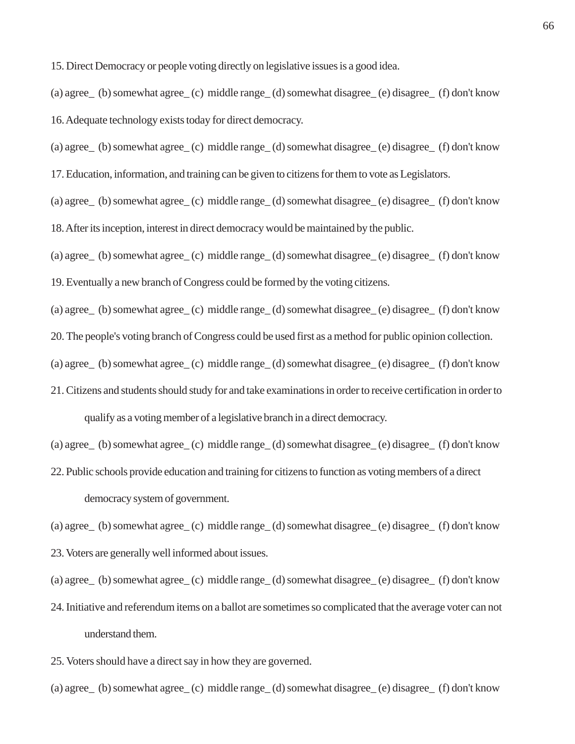15. Direct Democracy or people voting directly on legislative issues is a good idea.

(a) agree\_ (b) somewhat agree\_ (c) middle range\_ (d) somewhat disagree\_ (e) disagree\_ (f) don't know

16. Adequate technology exists today for direct democracy.

(a) agree\_ (b) somewhat agree\_ (c) middle range\_ (d) somewhat disagree\_ (e) disagree\_ (f) don't know

17. Education, information, and training can be given to citizens for them to vote as Legislators.

(a) agree\_ (b) somewhat agree\_ (c) middle range\_ (d) somewhat disagree\_ (e) disagree\_ (f) don't know

18. After its inception, interest in direct democracy would be maintained by the public.

(a) agree\_ (b) somewhat agree\_ (c) middle range\_ (d) somewhat disagree\_ (e) disagree\_ (f) don't know

19. Eventually a new branch of Congress could be formed by the voting citizens.

(a) agree\_ (b) somewhat agree\_ (c) middle range\_ (d) somewhat disagree\_ (e) disagree\_ (f) don't know

20. The people's voting branch of Congress could be used first as a method for public opinion collection.

(a) agree\_ (b) somewhat agree\_ (c) middle range\_ (d) somewhat disagree\_ (e) disagree\_ (f) don't know

21. Citizens and students should study for and take examinations in order to receive certification in order to qualify as a voting member of a legislative branch in a direct democracy.

(a) agree\_ (b) somewhat agree\_ (c) middle range\_ (d) somewhat disagree\_ (e) disagree\_ (f) don't know

22. Public schools provide education and training for citizens to function as voting members of a direct democracy system of government.

(a) agree\_ (b) somewhat agree\_ (c) middle range\_ (d) somewhat disagree\_ (e) disagree\_ (f) don't know

23. Voters are generally well informed about issues.

- 24. Initiative and referendum items on a ballot are sometimes so complicated that the average voter can not understand them.
- 25. Voters should have a direct say in how they are governed.
- (a) agree\_ (b) somewhat agree\_ (c) middle range\_ (d) somewhat disagree\_ (e) disagree\_ (f) don't know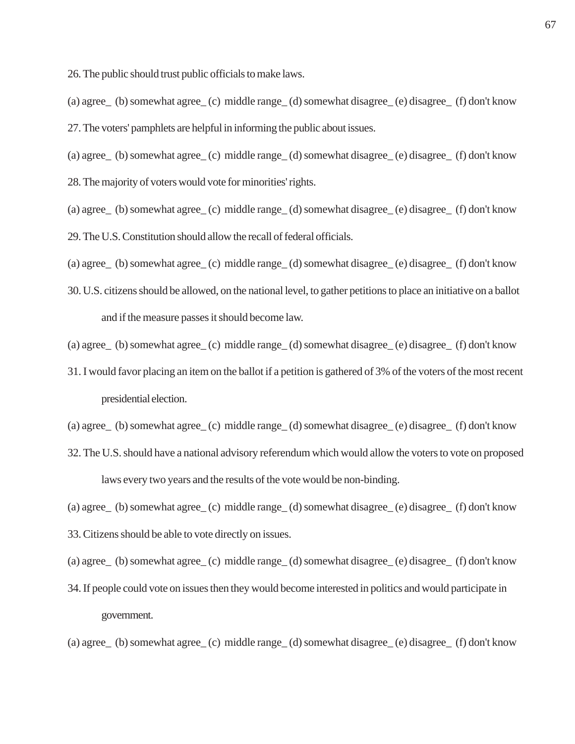26. The public should trust public officials to make laws.

(a) agree\_ (b) somewhat agree\_ (c) middle range\_ (d) somewhat disagree\_ (e) disagree\_ (f) don't know 27. The voters' pamphlets are helpful in informing the public about issues.

(a) agree\_ (b) somewhat agree\_ (c) middle range\_ (d) somewhat disagree\_ (e) disagree\_ (f) don't know 28. The majority of voters would vote for minorities' rights.

(a) agree\_ (b) somewhat agree\_ (c) middle range\_ (d) somewhat disagree\_ (e) disagree\_ (f) don't know 29. The U.S. Constitution should allow the recall of federal officials.

(a) agree\_ (b) somewhat agree\_ (c) middle range\_ (d) somewhat disagree\_ (e) disagree\_ (f) don't know

30. U.S. citizens should be allowed, on the national level, to gather petitions to place an initiative on a ballot and if the measure passes it should become law.

(a) agree\_ (b) somewhat agree\_ (c) middle range\_ (d) somewhat disagree\_ (e) disagree\_ (f) don't know

31. I would favor placing an item on the ballot if a petition is gathered of 3% of the voters of the most recent presidential election.

(a) agree\_ (b) somewhat agree\_ (c) middle range\_ (d) somewhat disagree\_ (e) disagree\_ (f) don't know

32. The U.S. should have a national advisory referendum which would allow the voters to vote on proposed laws every two years and the results of the vote would be non-binding.

(a) agree\_ (b) somewhat agree\_ (c) middle range\_ (d) somewhat disagree\_ (e) disagree\_ (f) don't know

33. Citizens should be able to vote directly on issues.

(a) agree\_ (b) somewhat agree\_ (c) middle range\_ (d) somewhat disagree\_ (e) disagree\_ (f) don't know

34. If people could vote on issues then they would become interested in politics and would participate in government.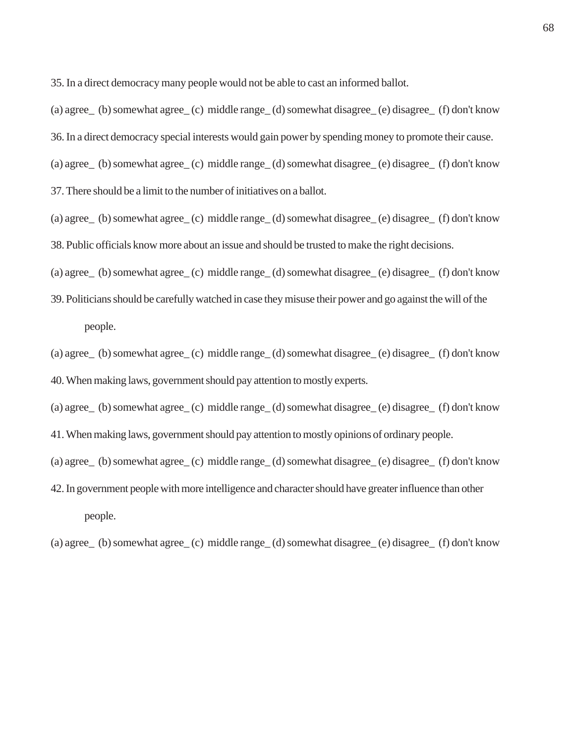35. In a direct democracy many people would not be able to cast an informed ballot.

(a) agree\_ (b) somewhat agree\_ (c) middle range\_ (d) somewhat disagree\_ (e) disagree\_ (f) don't know 36. In a direct democracy special interests would gain power by spending money to promote their cause. (a) agree\_ (b) somewhat agree\_ (c) middle range\_ (d) somewhat disagree\_ (e) disagree\_ (f) don't know 37. There should be a limit to the number of initiatives on a ballot.

- (a) agree\_ (b) somewhat agree\_ (c) middle range\_ (d) somewhat disagree\_ (e) disagree\_ (f) don't know 38. Public officials know more about an issue and should be trusted to make the right decisions.
- (a) agree\_ (b) somewhat agree\_ (c) middle range\_ (d) somewhat disagree\_ (e) disagree\_ (f) don't know
- 39. Politicians should be carefully watched in case they misuse their power and go against the will of the people.
- (a) agree\_ (b) somewhat agree\_ (c) middle range\_ (d) somewhat disagree\_ (e) disagree\_ (f) don't know 40. When making laws, government should pay attention to mostly experts.
- (a) agree\_ (b) somewhat agree\_ (c) middle range\_ (d) somewhat disagree\_ (e) disagree\_ (f) don't know
- 41. When making laws, government should pay attention to mostly opinions of ordinary people.
- (a) agree\_ (b) somewhat agree\_ (c) middle range\_ (d) somewhat disagree\_ (e) disagree\_ (f) don't know
- 42. In government people with more intelligence and character should have greater influence than other people.
- (a) agree\_ (b) somewhat agree\_ (c) middle range\_ (d) somewhat disagree\_ (e) disagree\_ (f) don't know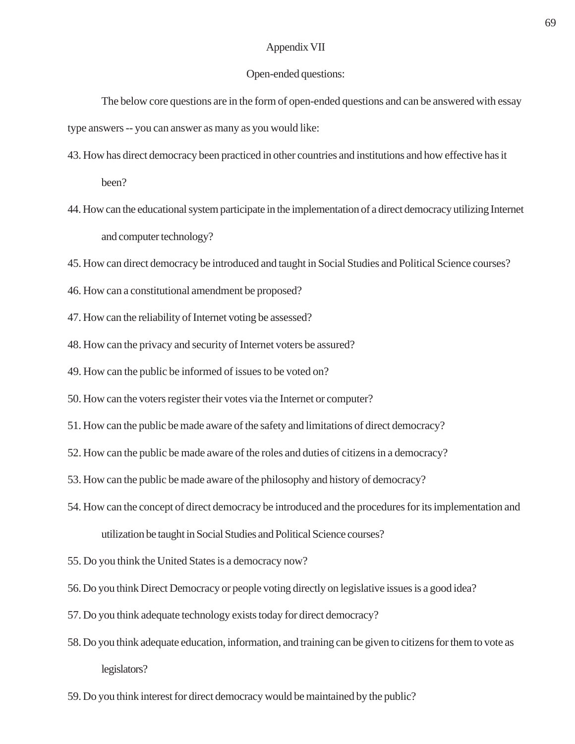# Appendix VII

#### Open-ended questions:

The below core questions are in the form of open-ended questions and can be answered with essay type answers -- you can answer as many as you would like:

- 43. How has direct democracy been practiced in other countries and institutions and how effective has it been?
- 44. How can the educational system participate in the implementation of a direct democracy utilizing Internet and computer technology?
- 45. How can direct democracy be introduced and taught in Social Studies and Political Science courses?
- 46. How can a constitutional amendment be proposed?
- 47. How can the reliability of Internet voting be assessed?
- 48. How can the privacy and security of Internet voters be assured?
- 49. How can the public be informed of issues to be voted on?
- 50. How can the voters register their votes via the Internet or computer?
- 51. How can the public be made aware of the safety and limitations of direct democracy?
- 52. How can the public be made aware of the roles and duties of citizens in a democracy?
- 53. How can the public be made aware of the philosophy and history of democracy?
- 54. How can the concept of direct democracy be introduced and the procedures for its implementation and utilization be taught in Social Studies and Political Science courses?
- 55. Do you think the United States is a democracy now?
- 56. Do you think Direct Democracy or people voting directly on legislative issues is a good idea?
- 57. Do you think adequate technology exists today for direct democracy?
- 58. Do you think adequate education, information, and training can be given to citizens for them to vote as legislators?
- 59. Do you think interest for direct democracy would be maintained by the public?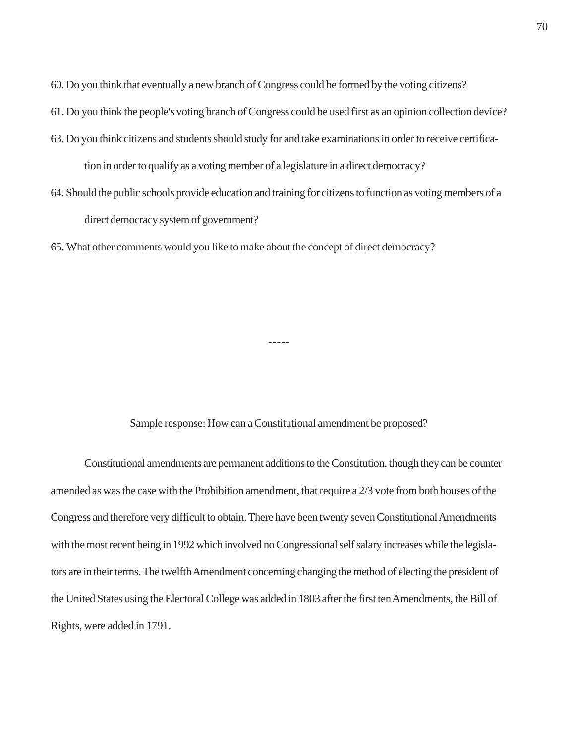60. Do you think that eventually a new branch of Congress could be formed by the voting citizens?

- 61. Do you think the people's voting branch of Congress could be used first as an opinion collection device?
- 63. Do you think citizens and students should study for and take examinations in order to receive certification in order to qualify as a voting member of a legislature in a direct democracy?
- 64. Should the public schools provide education and training for citizens to function as voting members of a direct democracy system of government?

65. What other comments would you like to make about the concept of direct democracy?

-----

Sample response: How can a Constitutional amendment be proposed?

Constitutional amendments are permanent additions to the Constitution, though they can be counter amended as was the case with the Prohibition amendment, that require a 2/3 vote from both houses of the Congress and therefore very difficult to obtain. There have been twenty seven Constitutional Amendments with the most recent being in 1992 which involved no Congressional self salary increases while the legislators are in their terms. The twelfth Amendment concerning changing the method of electing the president of the United States using the Electoral College was added in 1803 after the first ten Amendments, the Bill of Rights, were added in 1791.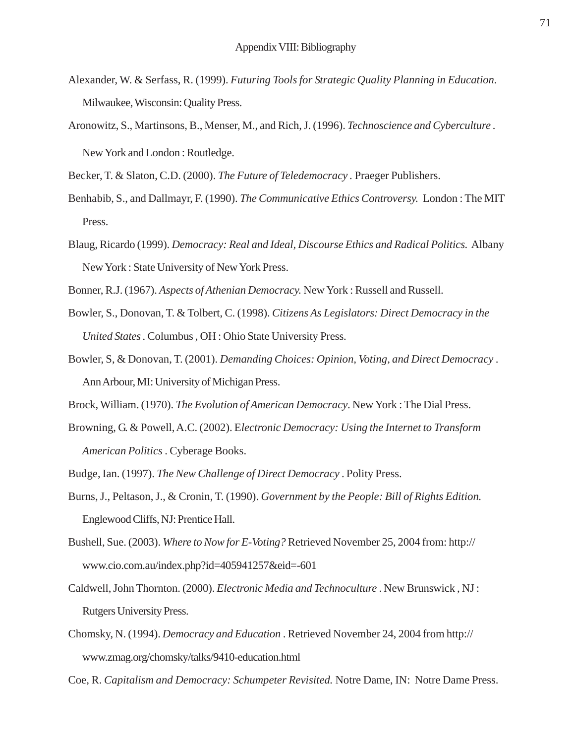- Alexander, W. & Serfass, R. (1999). *Futuring Tools for Strategic Quality Planning in Education.* Milwaukee, Wisconsin: Quality Press.
- Aronowitz, S., Martinsons, B., Menser, M., and Rich, J. (1996). *Technoscience and Cyberculture .* New York and London : Routledge.

Becker, T. & Slaton, C.D. (2000). *The Future of Teledemocracy .* Praeger Publishers.

- Benhabib, S., and Dallmayr, F. (1990). *The Communicative Ethics Controversy.* London : The MIT Press.
- Blaug, Ricardo (1999). *Democracy: Real and Ideal, Discourse Ethics and Radical Politics.* Albany New York : State University of New York Press.

Bonner, R.J. (1967). *Aspects of Athenian Democracy.* New York : Russell and Russell.

- Bowler, S., Donovan, T. & Tolbert, C. (1998). *Citizens As Legislators: Direct Democracy in the United States .* Columbus , OH : Ohio State University Press.
- Bowler, S, & Donovan, T. (2001). *Demanding Choices: Opinion, Voting, and Direct Democracy* . Ann Arbour, MI: University of Michigan Press.
- Brock, William. (1970). *The Evolution of American Democracy*. New York : The Dial Press.
- Browning, G. & Powell, A.C. (2002). E*lectronic Democracy: Using the Internet to Transform American Politics* . Cyberage Books.

Budge, Ian. (1997). *The New Challenge of Direct Democracy* . Polity Press.

- Burns, J., Peltason, J., & Cronin, T. (1990). *Government by the People: Bill of Rights Edition.* Englewood Cliffs, NJ: Prentice Hall.
- Bushell, Sue. (2003). *Where to Now for E-Voting?* Retrieved November 25, 2004 from: http:// www.cio.com.au/index.php?id=405941257&eid=-601
- Caldwell, John Thornton. (2000). *Electronic Media and Technoculture* . New Brunswick , NJ : Rutgers University Press.
- Chomsky, N. (1994). *Democracy and Education* . Retrieved November 24, 2004 from http:// www.zmag.org/chomsky/talks/9410-education.html
- Coe, R. *Capitalism and Democracy: Schumpeter Revisited.* Notre Dame, IN: Notre Dame Press.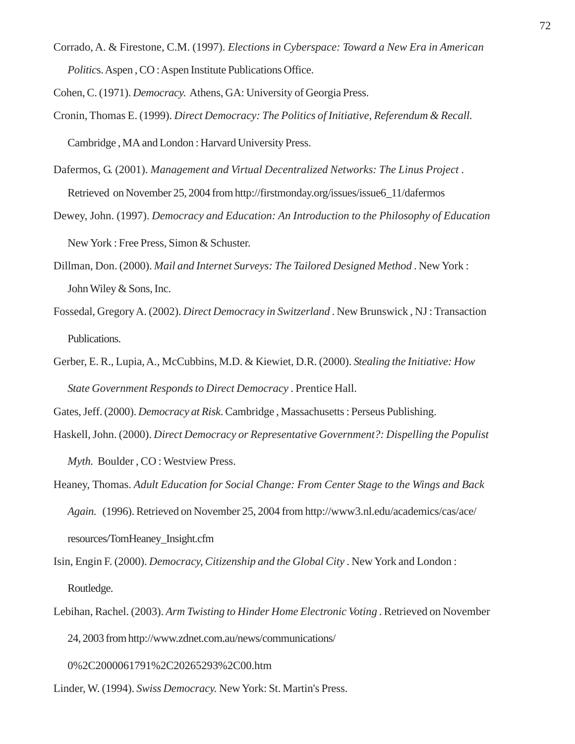Corrado, A. & Firestone, C.M. (1997). *Elections in Cyberspace: Toward a New Era in American Politics.* Aspen, CO: Aspen Institute Publications Office.

Cohen, C. (1971). *Democracy.* Athens, GA: University of Georgia Press.

- Cronin, Thomas E. (1999). *Direct Democracy: The Politics of Initiative, Referendum & Recall.* Cambridge , MA and London : Harvard University Press.
- Dafermos, G. (2001). *Management and Virtual Decentralized Networks: The Linus Project* . Retrieved on November 25, 2004 from http://firstmonday.org/issues/issue6\_11/dafermos
- Dewey, John. (1997). *Democracy and Education: An Introduction to the Philosophy of Education* New York : Free Press, Simon & Schuster.
- Dillman, Don. (2000). *Mail and Internet Surveys: The Tailored Designed Method* . New York : John Wiley & Sons, Inc.
- Fossedal, Gregory A. (2002). *Direct Democracy in Switzerland* . New Brunswick , NJ : Transaction Publications.
- Gerber, E. R., Lupia, A., McCubbins, M.D. & Kiewiet, D.R. (2000). *Stealing the Initiative: How State Government Responds to Direct Democracy* . Prentice Hall.

Gates, Jeff. (2000). *Democracy at Risk*. Cambridge , Massachusetts : Perseus Publishing.

Haskell, John. (2000). *Direct Democracy or Representative Government?: Dispelling the Populist*

*Myth.* Boulder , CO : Westview Press.

- Heaney, Thomas. *Adult Education for Social Change: From Center Stage to the Wings and Back Again.* (1996). Retrieved on November 25, 2004 from http://www3.nl.edu/academics/cas/ace/ resources/TomHeaney\_Insight.cfm
- Isin, Engin F. (2000). *Democracy, Citizenship and the Global City* . New York and London : Routledge.
- Lebihan, Rachel. (2003). *Arm Twisting to Hinder Home Electronic Voting* . Retrieved on November 24, 2003 from http://www.zdnet.com.au/news/communications/

0%2C2000061791%2C20265293%2C00.htm

Linder, W. (1994). *Swiss Democracy.* New York: St. Martin's Press.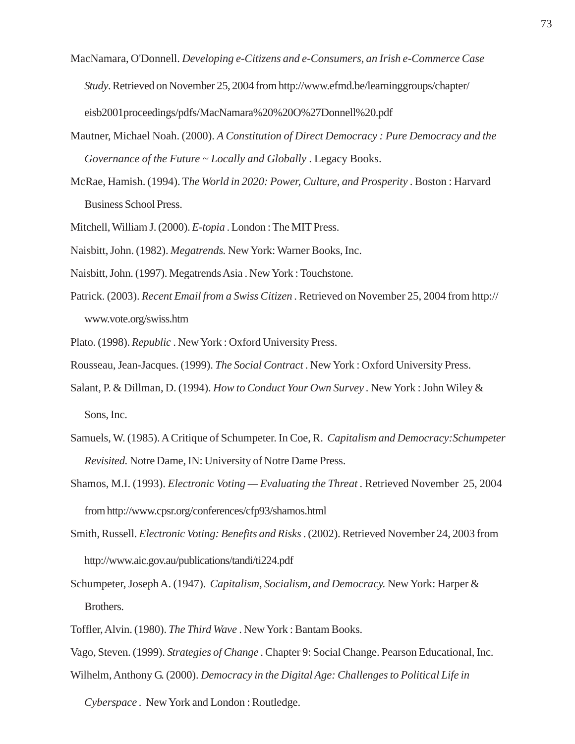- MacNamara, O'Donnell. *Developing e-Citizens and e-Consumers, an Irish e-Commerce Case Study*. Retrieved on November 25, 2004 from http://www.efmd.be/learninggroups/chapter/ eisb2001proceedings/pdfs/MacNamara%20%20O%27Donnell%20.pdf
- Mautner, Michael Noah. (2000). *A Constitution of Direct Democracy : Pure Democracy and the Governance of the Future ~ Locally and Globally* . Legacy Books.
- McRae, Hamish. (1994). T*he World in 2020: Power, Culture, and Prosperity* . Boston : Harvard Business School Press.
- Mitchell, William J. (2000). *E-topia* . London : The MIT Press.
- Naisbitt, John. (1982). *Megatrends.* New York: Warner Books, Inc.
- Naisbitt, John. (1997). Megatrends Asia . New York : Touchstone.
- Patrick. (2003). *Recent Email from a Swiss Citizen .* Retrieved on November 25, 2004 from http:// www.vote.org/swiss.htm
- Plato. (1998). *Republic* . New York : Oxford University Press.
- Rousseau, Jean-Jacques. (1999). *The Social Contract* . New York : Oxford University Press.
- Salant, P. & Dillman, D. (1994). *How to Conduct Your Own Survey .* New York : John Wiley & Sons, Inc.
- Samuels, W. (1985). A Critique of Schumpeter. In Coe, R. *Capitalism and Democracy:Schumpeter Revisited.* Notre Dame, IN: University of Notre Dame Press.
- Shamos, M.I. (1993). *Electronic Voting Evaluating the Threat .* Retrieved November 25, 2004 from http://www.cpsr.org/conferences/cfp93/shamos.html
- Smith, Russell. *Electronic Voting: Benefits and Risks* . (2002). Retrieved November 24, 2003 from http://www.aic.gov.au/publications/tandi/ti224.pdf
- Schumpeter, Joseph A. (1947). *Capitalism, Socialism, and Democracy.* New York: Harper & Brothers.
- Toffler, Alvin. (1980). *The Third Wave* . New York : Bantam Books.
- Vago, Steven. (1999). *Strategies of Change* . Chapter 9: Social Change. Pearson Educational, Inc. Wilhelm, Anthony G. (2000). *Democracy in the Digital Age: Challenges to Political Life in*

*Cyberspace .* New York and London : Routledge.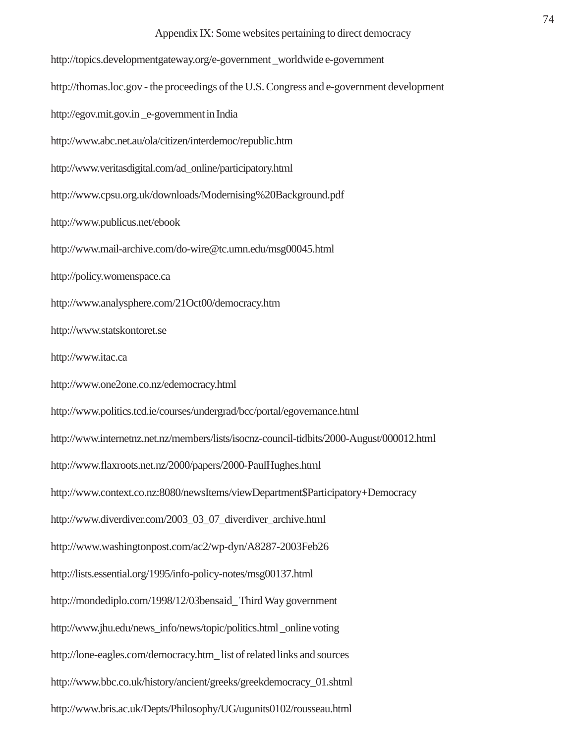http://topics.developmentgateway.org/e-government \_worldwide e-government http://thomas.loc.gov - the proceedings of the U.S. Congress and e-government development http://egov.mit.gov.in \_e-government in India http://www.abc.net.au/ola/citizen/interdemoc/republic.htm http://www.veritasdigital.com/ad\_online/participatory.html http://www.cpsu.org.uk/downloads/Modernising%20Background.pdf http://www.publicus.net/ebook http://www.mail-archive.com/do-wire@tc.umn.edu/msg00045.html http://policy.womenspace.ca http://www.analysphere.com/21Oct00/democracy.htm http://www.statskontoret.se http://www.itac.ca http://www.one2one.co.nz/edemocracy.html http://www.politics.tcd.ie/courses/undergrad/bcc/portal/egovernance.html http://www.internetnz.net.nz/members/lists/isocnz-council-tidbits/2000-August/000012.html http://www.flaxroots.net.nz/2000/papers/2000-PaulHughes.html http://www.context.co.nz:8080/newsItems/viewDepartment\$Participatory+Democracy http://www.diverdiver.com/2003\_03\_07\_diverdiver\_archive.html http://www.washingtonpost.com/ac2/wp-dyn/A8287-2003Feb26 http://lists.essential.org/1995/info-policy-notes/msg00137.html http://mondediplo.com/1998/12/03bensaid\_ Third Way government http://www.jhu.edu/news\_info/news/topic/politics.html \_online voting http://lone-eagles.com/democracy.htm\_ list of related links and sources http://www.bbc.co.uk/history/ancient/greeks/greekdemocracy\_01.shtml http://www.bris.ac.uk/Depts/Philosophy/UG/ugunits0102/rousseau.html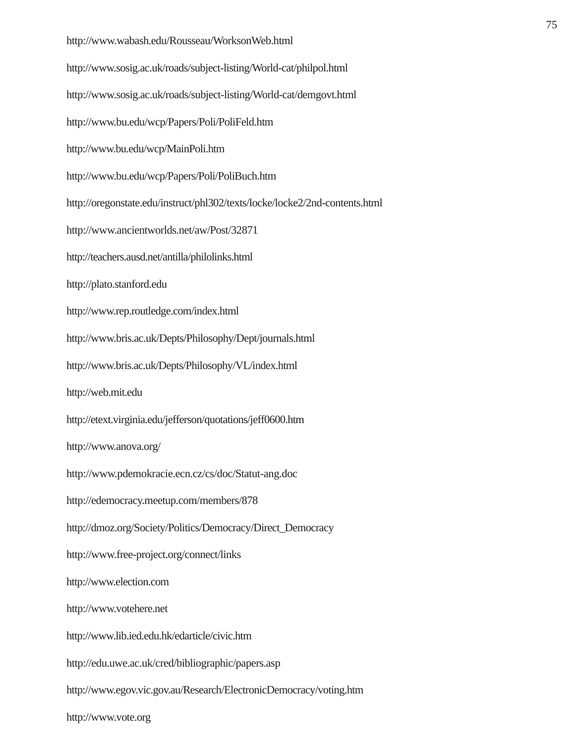http://www.wabash.edu/Rousseau/WorksonWeb.html http://www.sosig.ac.uk/roads/subject-listing/World-cat/philpol.html http://www.sosig.ac.uk/roads/subject-listing/World-cat/demgovt.html http://www.bu.edu/wcp/Papers/Poli/PoliFeld.htm http://www.bu.edu/wcp/MainPoli.htm http://www.bu.edu/wcp/Papers/Poli/PoliBuch.htm http://oregonstate.edu/instruct/phl302/texts/locke/locke2/2nd-contents.html http://www.ancientworlds.net/aw/Post/32871 http://teachers.ausd.net/antilla/philolinks.html http://plato.stanford.edu http://www.rep.routledge.com/index.html http://www.bris.ac.uk/Depts/Philosophy/Dept/journals.html http://www.bris.ac.uk/Depts/Philosophy/VL/index.html http://web.mit.edu http://etext.virginia.edu/jefferson/quotations/jeff0600.htm http://www.anova.org/ http://www.pdemokracie.ecn.cz/cs/doc/Statut-ang.doc http://edemocracy.meetup.com/members/878 http://dmoz.org/Society/Politics/Democracy/Direct\_Democracy http://www.free-project.org/connect/links http://www.election.com http://www.votehere.net http://www.lib.ied.edu.hk/edarticle/civic.htm http://edu.uwe.ac.uk/cred/bibliographic/papers.asp http://www.egov.vic.gov.au/Research/ElectronicDemocracy/voting.htm

http://www.vote.org

## 75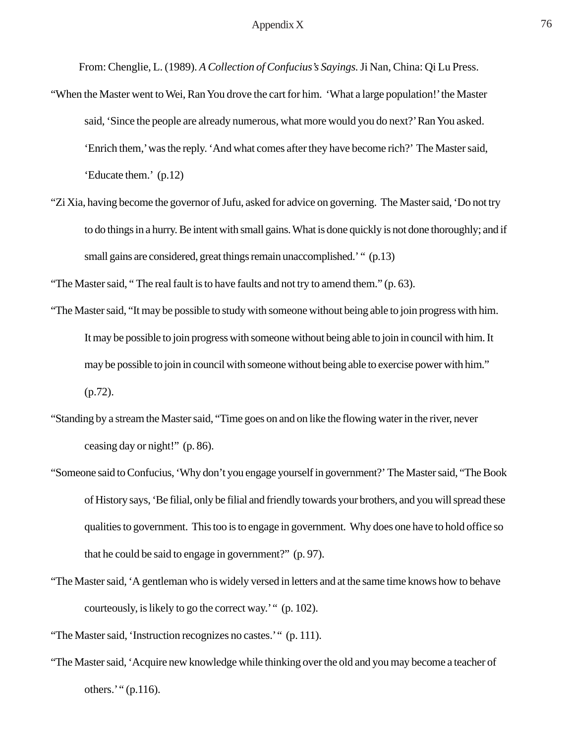From: Chenglie, L. (1989). *A Collection of Confucius's Sayings.* Ji Nan, China: Qi Lu Press.

- "When the Master went to Wei, Ran You drove the cart for him. 'What a large population!' the Master said, 'Since the people are already numerous, what more would you do next?' Ran You asked. 'Enrich them,' was the reply. 'And what comes after they have become rich?' The Master said, 'Educate them.' (p.12)
- "Zi Xia, having become the governor of Jufu, asked for advice on governing. The Master said, 'Do not try to do things in a hurry. Be intent with small gains. What is done quickly is not done thoroughly; and if small gains are considered, great things remain unaccomplished.' " (p.13)

"The Master said, " The real fault is to have faults and not try to amend them." (p. 63).

- "The Master said, "It may be possible to study with someone without being able to join progress with him. It may be possible to join progress with someone without being able to join in council with him. It may be possible to join in council with someone without being able to exercise power with him."  $(p.72)$ .
- "Standing by a stream the Master said, "Time goes on and on like the flowing water in the river, never ceasing day or night!" (p. 86).
- "Someone said to Confucius, 'Why don't you engage yourself in government?' The Master said, "The Book of History says, 'Be filial, only be filial and friendly towards your brothers, and you will spread these qualities to government. This too is to engage in government. Why does one have to hold office so that he could be said to engage in government?" (p. 97).
- "The Master said, 'A gentleman who is widely versed in letters and at the same time knows how to behave courteously, is likely to go the correct way.' " (p. 102).

"The Master said, 'Instruction recognizes no castes.' " (p. 111).

"The Master said, 'Acquire new knowledge while thinking over the old and you may become a teacher of others.' "  $(p.116)$ .